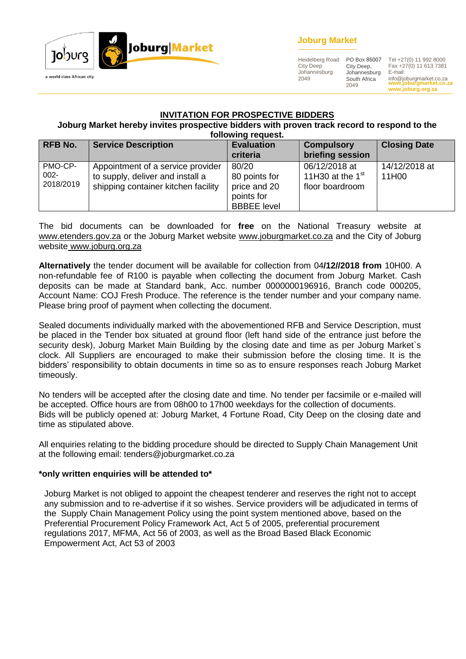

## **Joburg Market**

Heidelberg Road City Deep Johannesburg 2049 City Deep, Johannesburg South Africa 2049

**www.joburgmarket.co.za www.joburg.org.za** PO Box 86007 Tel +27(0) 11 992 8000 Fax +27(0) 11 613 7381 E-mail: info@joburgmarket.co.za

#### **INVITATION FOR PROSPECTIVE BIDDERS**

#### **Joburg Market hereby invites prospective bidders with proven track record to respond to the following request.**

| <b>RFB No.</b>                  | <b>Service Description</b>                                                                                   | <b>Evaluation</b><br>criteria                                              | <b>Compulsory</b><br>briefing session                  | <b>Closing Date</b>    |
|---------------------------------|--------------------------------------------------------------------------------------------------------------|----------------------------------------------------------------------------|--------------------------------------------------------|------------------------|
| PMO-CP-<br>$002 -$<br>2018/2019 | Appointment of a service provider<br>to supply, deliver and install a<br>shipping container kitchen facility | 80/20<br>80 points for<br>price and 20<br>points for<br><b>BBBEE</b> level | 06/12/2018 at<br>11H30 at the $1st$<br>floor boardroom | 14/12/2018 at<br>11H00 |

The bid documents can be downloaded for **free** on the National Treasury website at [www.etenders.gov.za](http://www.etenders.gov.za/) or the Joburg Market website [www.joburgmarket.co.za](http://www.joburgmarket.co.za/) and the City of Joburg website [www.joburg.org.za](http://www.joburg.org.za/)

**Alternatively** the tender document will be available for collection from 04**/12//2018 from** 10H00. A non-refundable fee of R100 is payable when collecting the document from Joburg Market. Cash deposits can be made at Standard bank, Acc. number 0000000196916, Branch code 000205, Account Name: COJ Fresh Produce. The reference is the tender number and your company name. Please bring proof of payment when collecting the document.

Sealed documents individually marked with the abovementioned RFB and Service Description, must be placed in the Tender box situated at ground floor (left hand side of the entrance just before the security desk), Joburg Market Main Building by the closing date and time as per Joburg Market's clock. All Suppliers are encouraged to make their submission before the closing time. It is the bidders' responsibility to obtain documents in time so as to ensure responses reach Joburg Market timeously.

No tenders will be accepted after the closing date and time. No tender per facsimile or e-mailed will be accepted. Office hours are from 08h00 to 17h00 weekdays for the collection of documents. Bids will be publicly opened at: Joburg Market, 4 Fortune Road, City Deep on the closing date and time as stipulated above.

All enquiries relating to the bidding procedure should be directed to Supply Chain Management Unit at the following email: tenders@joburgmarket.co.za

#### **\*only written enquiries will be attended to\***

Joburg Market is not obliged to appoint the cheapest tenderer and reserves the right not to accept any submission and to re-advertise if it so wishes. Service providers will be adjudicated in terms of the Supply Chain Management Policy using the point system mentioned above, based on the Preferential Procurement Policy Framework Act, Act 5 of 2005, preferential procurement regulations 2017, MFMA, Act 56 of 2003, as well as the Broad Based Black Economic Empowerment Act, Act 53 of 2003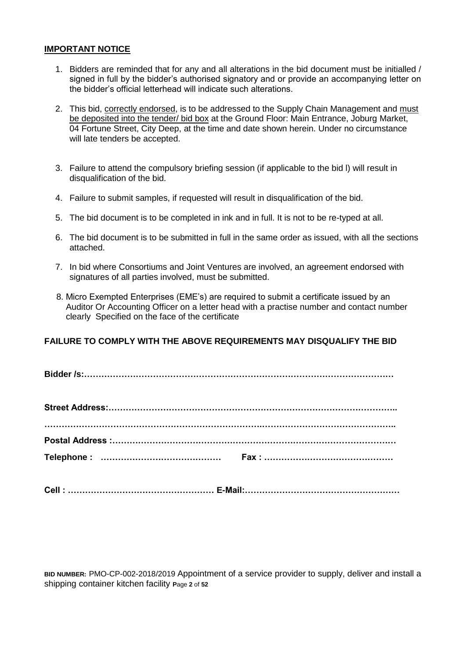#### **IMPORTANT NOTICE**

- 1. Bidders are reminded that for any and all alterations in the bid document must be initialled / signed in full by the bidder's authorised signatory and or provide an accompanying letter on the bidder's official letterhead will indicate such alterations.
- 2. This bid, correctly endorsed, is to be addressed to the Supply Chain Management and must be deposited into the tender/ bid box at the Ground Floor: Main Entrance, Joburg Market, 04 Fortune Street, City Deep, at the time and date shown herein. Under no circumstance will late tenders be accepted.
- 3. Failure to attend the compulsory briefing session (if applicable to the bid l) will result in disqualification of the bid.
- 4. Failure to submit samples, if requested will result in disqualification of the bid.
- 5. The bid document is to be completed in ink and in full. It is not to be re-typed at all.
- 6. The bid document is to be submitted in full in the same order as issued, with all the sections attached.
- 7. In bid where Consortiums and Joint Ventures are involved, an agreement endorsed with signatures of all parties involved, must be submitted.
- 8. Micro Exempted Enterprises (EME's) are required to submit a certificate issued by an Auditor Or Accounting Officer on a letter head with a practise number and contact number clearly Specified on the face of the certificate

## **FAILURE TO COMPLY WITH THE ABOVE REQUIREMENTS MAY DISQUALIFY THE BID**

**Bidder /s:………………………………………………………………………………………………**

**Cell : …………………………………………… E-Mail:………………………………………………**

**BID NUMBER:** PMO-CP-002-2018/2019 Appointment of a service provider to supply, deliver and install a shipping container kitchen facility **P**age **2** of **52**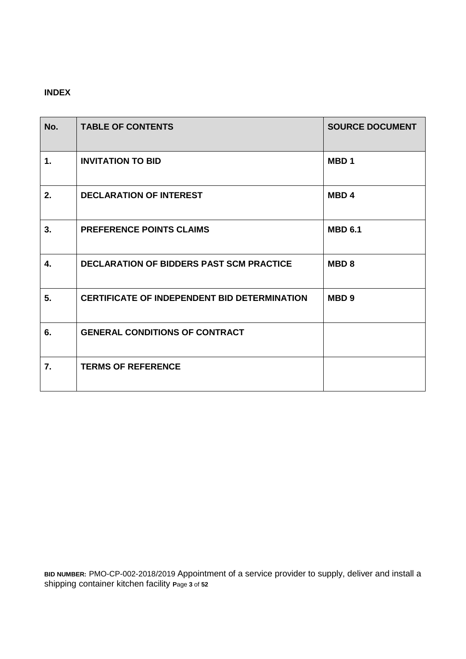# **INDEX**

| No. | <b>TABLE OF CONTENTS</b>                            | <b>SOURCE DOCUMENT</b> |
|-----|-----------------------------------------------------|------------------------|
| 1.  | <b>INVITATION TO BID</b>                            | MBD <sub>1</sub>       |
| 2.  | <b>DECLARATION OF INTEREST</b>                      | MBD <sub>4</sub>       |
| 3.  | <b>PREFERENCE POINTS CLAIMS</b>                     | <b>MBD 6.1</b>         |
| 4.  | <b>DECLARATION OF BIDDERS PAST SCM PRACTICE</b>     | <b>MBD8</b>            |
| 5.  | <b>CERTIFICATE OF INDEPENDENT BID DETERMINATION</b> | MBD <sub>9</sub>       |
| 6.  | <b>GENERAL CONDITIONS OF CONTRACT</b>               |                        |
| 7.  | <b>TERMS OF REFERENCE</b>                           |                        |

**BID NUMBER:** PMO-CP-002-2018/2019 Appointment of a service provider to supply, deliver and install a shipping container kitchen facility **P**age **3** of **52**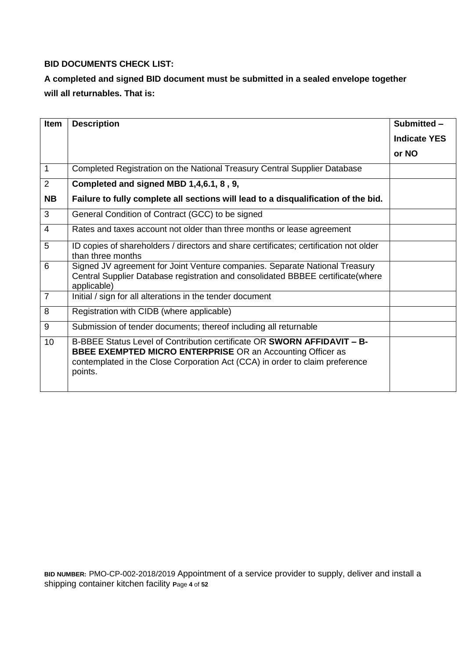# **BID DOCUMENTS CHECK LIST:**

# **A completed and signed BID document must be submitted in a sealed envelope together will all returnables. That is:**

| Item           | <b>Description</b>                                                                                                                                                                                                                             | Submitted -         |
|----------------|------------------------------------------------------------------------------------------------------------------------------------------------------------------------------------------------------------------------------------------------|---------------------|
|                |                                                                                                                                                                                                                                                | <b>Indicate YES</b> |
|                |                                                                                                                                                                                                                                                | or NO               |
| 1              | Completed Registration on the National Treasury Central Supplier Database                                                                                                                                                                      |                     |
| $\overline{2}$ | Completed and signed MBD 1,4,6.1, 8, 9,                                                                                                                                                                                                        |                     |
| <b>NB</b>      | Failure to fully complete all sections will lead to a disqualification of the bid.                                                                                                                                                             |                     |
| 3              | General Condition of Contract (GCC) to be signed                                                                                                                                                                                               |                     |
| 4              | Rates and taxes account not older than three months or lease agreement                                                                                                                                                                         |                     |
| 5              | ID copies of shareholders / directors and share certificates; certification not older<br>than three months                                                                                                                                     |                     |
| 6              | Signed JV agreement for Joint Venture companies. Separate National Treasury<br>Central Supplier Database registration and consolidated BBBEE certificate(where<br>applicable)                                                                  |                     |
| $\overline{7}$ | Initial / sign for all alterations in the tender document                                                                                                                                                                                      |                     |
| 8              | Registration with CIDB (where applicable)                                                                                                                                                                                                      |                     |
| 9              | Submission of tender documents; thereof including all returnable                                                                                                                                                                               |                     |
| 10             | B-BBEE Status Level of Contribution certificate OR <b>SWORN AFFIDAVIT - B-</b><br><b>BBEE EXEMPTED MICRO ENTERPRISE OR an Accounting Officer as</b><br>contemplated in the Close Corporation Act (CCA) in order to claim preference<br>points. |                     |

**BID NUMBER:** PMO-CP-002-2018/2019 Appointment of a service provider to supply, deliver and install a shipping container kitchen facility **P**age **4** of **52**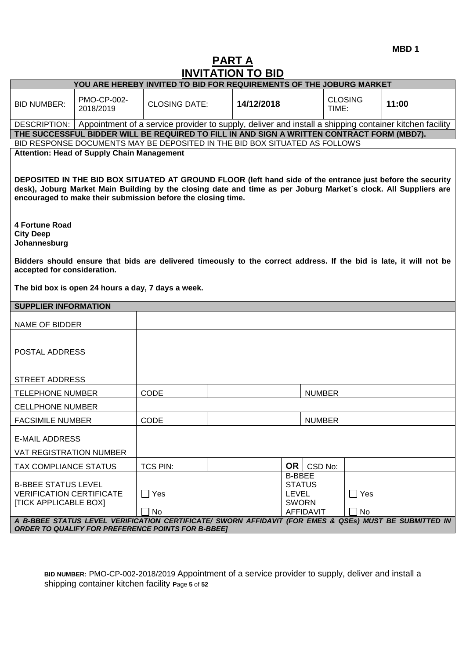**MBD 1**

# **PART A INVITATION TO BID**

|                                                                                               |                                                                                                                   |                      | שוש טו ווטווחווווווו |                                               |                  |                         |                                                                                                                                                                                                                               |
|-----------------------------------------------------------------------------------------------|-------------------------------------------------------------------------------------------------------------------|----------------------|----------------------|-----------------------------------------------|------------------|-------------------------|-------------------------------------------------------------------------------------------------------------------------------------------------------------------------------------------------------------------------------|
|                                                                                               | YOU ARE HEREBY INVITED TO BID FOR REQUIREMENTS OF THE JOBURG MARKET                                               |                      |                      |                                               |                  |                         |                                                                                                                                                                                                                               |
| <b>BID NUMBER:</b>                                                                            | PMO-CP-002-<br>2018/2019                                                                                          | <b>CLOSING DATE:</b> |                      | 14/12/2018                                    |                  | <b>CLOSING</b><br>TIME: | 11:00                                                                                                                                                                                                                         |
|                                                                                               |                                                                                                                   |                      |                      |                                               |                  |                         | DESCRIPTION:   Appointment of a service provider to supply, deliver and install a shipping container kitchen facility                                                                                                         |
|                                                                                               | THE SUCCESSFUL BIDDER WILL BE REQUIRED TO FILL IN AND SIGN A WRITTEN CONTRACT FORM (MBD7).                        |                      |                      |                                               |                  |                         |                                                                                                                                                                                                                               |
|                                                                                               | BID RESPONSE DOCUMENTS MAY BE DEPOSITED IN THE BID BOX SITUATED AS FOLLOWS                                        |                      |                      |                                               |                  |                         |                                                                                                                                                                                                                               |
|                                                                                               | <b>Attention: Head of Supply Chain Management</b><br>encouraged to make their submission before the closing time. |                      |                      |                                               |                  |                         | DEPOSITED IN THE BID BOX SITUATED AT GROUND FLOOR (left hand side of the entrance just before the security<br>desk), Joburg Market Main Building by the closing date and time as per Joburg Market's clock. All Suppliers are |
| <b>4 Fortune Road</b><br><b>City Deep</b><br>Johannesburg                                     |                                                                                                                   |                      |                      |                                               |                  |                         |                                                                                                                                                                                                                               |
| accepted for consideration.                                                                   |                                                                                                                   |                      |                      |                                               |                  |                         | Bidders should ensure that bids are delivered timeously to the correct address. If the bid is late, it will not be                                                                                                            |
|                                                                                               | The bid box is open 24 hours a day, 7 days a week.                                                                |                      |                      |                                               |                  |                         |                                                                                                                                                                                                                               |
| <b>SUPPLIER INFORMATION</b>                                                                   |                                                                                                                   |                      |                      |                                               |                  |                         |                                                                                                                                                                                                                               |
| <b>NAME OF BIDDER</b>                                                                         |                                                                                                                   |                      |                      |                                               |                  |                         |                                                                                                                                                                                                                               |
| POSTAL ADDRESS                                                                                |                                                                                                                   |                      |                      |                                               |                  |                         |                                                                                                                                                                                                                               |
| <b>STREET ADDRESS</b>                                                                         |                                                                                                                   |                      |                      |                                               |                  |                         |                                                                                                                                                                                                                               |
| <b>TELEPHONE NUMBER</b>                                                                       |                                                                                                                   | <b>CODE</b>          |                      |                                               | <b>NUMBER</b>    |                         |                                                                                                                                                                                                                               |
| <b>CELLPHONE NUMBER</b>                                                                       |                                                                                                                   |                      |                      |                                               |                  |                         |                                                                                                                                                                                                                               |
| <b>FACSIMILE NUMBER</b>                                                                       |                                                                                                                   | <b>CODE</b>          |                      |                                               | <b>NUMBER</b>    |                         |                                                                                                                                                                                                                               |
| <b>E-MAIL ADDRESS</b>                                                                         |                                                                                                                   |                      |                      |                                               |                  |                         |                                                                                                                                                                                                                               |
| VAT REGISTRATION NUMBER                                                                       |                                                                                                                   |                      |                      |                                               |                  |                         |                                                                                                                                                                                                                               |
| TAX COMPLIANCE STATUS                                                                         |                                                                                                                   | TCS PIN:             |                      | OR                                            | CSD No:          |                         |                                                                                                                                                                                                                               |
| <b>B-BBEE STATUS LEVEL</b><br><b>VERIFICATION CERTIFICATE</b><br><b>[TICK APPLICABLE BOX]</b> |                                                                                                                   | $\Box$ Yes           |                      | <b>B-BBEE</b><br><b>LEVEL</b><br><b>SWORN</b> | <b>STATUS</b>    | $\Box$ Yes              |                                                                                                                                                                                                                               |
|                                                                                               |                                                                                                                   | No                   |                      |                                               | <b>AFFIDAVIT</b> | No                      | A B-BBEE STATUS LEVEL VERIFICATION CERTIFICATE/ SWORN AFFIDAVIT (FOR EMES & QSEs) MUST BE SUBMITTED IN                                                                                                                        |
|                                                                                               | <b>ORDER TO QUALIFY FOR PREFERENCE POINTS FOR B-BBEE]</b>                                                         |                      |                      |                                               |                  |                         |                                                                                                                                                                                                                               |

**BID NUMBER:** PMO-CP-002-2018/2019 Appointment of a service provider to supply, deliver and install a shipping container kitchen facility **P**age **5** of **52**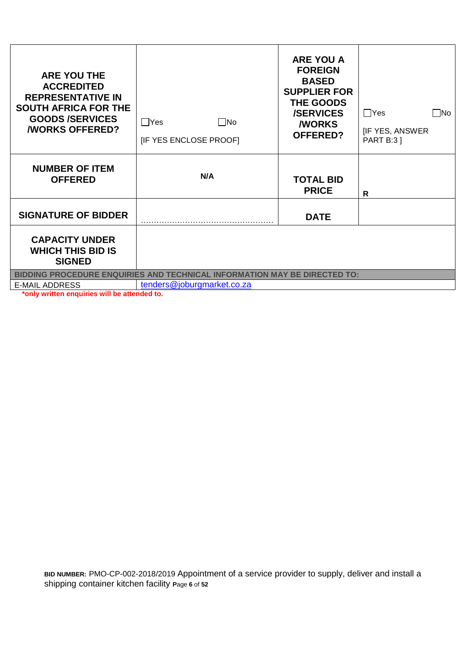| <b>ARE YOU THE</b><br><b>ACCREDITED</b><br><b>REPRESENTATIVE IN</b><br><b>SOUTH AFRICA FOR THE</b><br><b>GOODS/SERVICES</b><br><b><i>NORKS OFFERED?</i></b> | $\square$ No<br>$\Box$ Yes<br>[IF YES ENCLOSE PROOF]                      | <b>ARE YOU A</b><br><b>FOREIGN</b><br><b>BASED</b><br><b>SUPPLIER FOR</b><br>THE GOODS<br><b>/SERVICES</b><br><b>MORKS</b><br><b>OFFERED?</b> | $\Box$ Yes<br>$\Box$ No<br><b>IF YES, ANSWER</b><br><b>PART B:31</b> |
|-------------------------------------------------------------------------------------------------------------------------------------------------------------|---------------------------------------------------------------------------|-----------------------------------------------------------------------------------------------------------------------------------------------|----------------------------------------------------------------------|
| <b>NUMBER OF ITEM</b><br><b>OFFERED</b>                                                                                                                     | N/A                                                                       | <b>TOTAL BID</b><br><b>PRICE</b>                                                                                                              | R                                                                    |
| <b>SIGNATURE OF BIDDER</b>                                                                                                                                  |                                                                           | <b>DATE</b>                                                                                                                                   |                                                                      |
| <b>CAPACITY UNDER</b><br><b>WHICH THIS BID IS</b><br><b>SIGNED</b>                                                                                          |                                                                           |                                                                                                                                               |                                                                      |
|                                                                                                                                                             | BIDDING PROCEDURE ENQUIRIES AND TECHNICAL INFORMATION MAY BE DIRECTED TO: |                                                                                                                                               |                                                                      |
| <b>E-MAIL ADDRESS</b><br>" only written enquiries will be attended to                                                                                       | tenders@joburgmarket.co.za                                                |                                                                                                                                               |                                                                      |

**\*only written enquiries will be attended to.**

**BID NUMBER:** PMO-CP-002-2018/2019 Appointment of a service provider to supply, deliver and install a shipping container kitchen facility **P**age **6** of **52**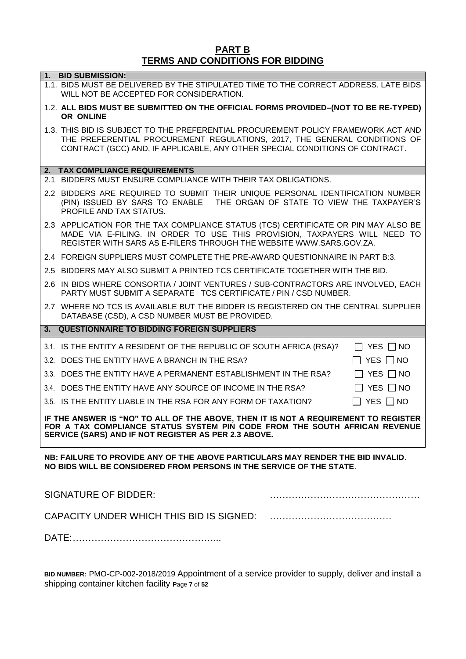# **PART B TERMS AND CONDITIONS FOR BIDDING**

|     | 1. BID SUBMISSION:<br>1.1. BIDS MUST BE DELIVERED BY THE STIPULATED TIME TO THE CORRECT ADDRESS. LATE BIDS<br>WILL NOT BE ACCEPTED FOR CONSIDERATION.                                                                                          |
|-----|------------------------------------------------------------------------------------------------------------------------------------------------------------------------------------------------------------------------------------------------|
|     | 1.2. ALL BIDS MUST BE SUBMITTED ON THE OFFICIAL FORMS PROVIDED-(NOT TO BE RE-TYPED)<br>OR ONLINE                                                                                                                                               |
|     | 1.3. THIS BID IS SUBJECT TO THE PREFERENTIAL PROCUREMENT POLICY FRAMEWORK ACT AND<br>THE PREFERENTIAL PROCUREMENT REGULATIONS, 2017, THE GENERAL CONDITIONS OF<br>CONTRACT (GCC) AND, IF APPLICABLE, ANY OTHER SPECIAL CONDITIONS OF CONTRACT. |
|     |                                                                                                                                                                                                                                                |
| 2.1 | 2. TAX COMPLIANCE REQUIREMENTS<br>BIDDERS MUST ENSURE COMPLIANCE WITH THEIR TAX OBLIGATIONS.                                                                                                                                                   |
|     | 2.2 BIDDERS ARE REQUIRED TO SUBMIT THEIR UNIQUE PERSONAL IDENTIFICATION NUMBER<br>(PIN) ISSUED BY SARS TO ENABLE  THE ORGAN OF STATE TO VIEW THE TAXPAYER'S<br>PROFILE AND TAX STATUS.                                                         |
|     | 2.3 APPLICATION FOR THE TAX COMPLIANCE STATUS (TCS) CERTIFICATE OR PIN MAY ALSO BE<br>MADE VIA E-FILING. IN ORDER TO USE THIS PROVISION, TAXPAYERS WILL NEED TO<br>REGISTER WITH SARS AS E-FILERS THROUGH THE WEBSITE WWW.SARS.GOV.ZA.         |
|     | 2.4 FOREIGN SUPPLIERS MUST COMPLETE THE PRE-AWARD QUESTIONNAIRE IN PART B:3.                                                                                                                                                                   |
|     | 2.5 BIDDERS MAY ALSO SUBMIT A PRINTED TCS CERTIFICATE TOGETHER WITH THE BID.                                                                                                                                                                   |
|     | 2.6 IN BIDS WHERE CONSORTIA / JOINT VENTURES / SUB-CONTRACTORS ARE INVOLVED, EACH<br>PARTY MUST SUBMIT A SEPARATE TCS CERTIFICATE / PIN / CSD NUMBER.                                                                                          |
|     | 2.7 WHERE NO TCS IS AVAILABLE BUT THE BIDDER IS REGISTERED ON THE CENTRAL SUPPLIER<br>DATABASE (CSD), A CSD NUMBER MUST BE PROVIDED.                                                                                                           |
|     | 3. QUESTIONNAIRE TO BIDDING FOREIGN SUPPLIERS                                                                                                                                                                                                  |
|     | 3.1. IS THE ENTITY A RESIDENT OF THE REPUBLIC OF SOUTH AFRICA (RSA)?<br>$\Box$ YES $\Box$ NO                                                                                                                                                   |
|     | 3.2. DOES THE ENTITY HAVE A BRANCH IN THE RSA?<br>YES $\Box$ NO                                                                                                                                                                                |
|     | $\Box$ Yes $\Box$ No<br>3.3. DOES THE ENTITY HAVE A PERMANENT ESTABLISHMENT IN THE RSA?                                                                                                                                                        |
|     | 3.4. DOES THE ENTITY HAVE ANY SOURCE OF INCOME IN THE RSA?<br>YES $\Box$ NO                                                                                                                                                                    |
|     | 3.5. IS THE ENTITY LIABLE IN THE RSA FOR ANY FORM OF TAXATION?<br>$\Box$ YES $\Box$ NO                                                                                                                                                         |
|     | IF THE ANSWER IS "NO" TO ALL OF THE ABOVE, THEN IT IS NOT A REQUIREMENT TO REGISTER<br>FOR A TAX COMPLIANCE STATUS SYSTEM PIN CODE FROM THE SOUTH AFRICAN REVENUE<br>SERVICE (SARS) AND IF NOT REGISTER AS PER 2.3 ABOVE.                      |
|     | NB: FAILURE TO PROVIDE ANY OF THE ABOVE PARTICULARS MAY RENDER THE BID INVALID.<br>NO BIDS WILL BE CONSIDERED FROM PERSONS IN THE SERVICE OF THE STATE.                                                                                        |
|     | <b>SIGNATURE OF BIDDER:</b>                                                                                                                                                                                                                    |
|     |                                                                                                                                                                                                                                                |
|     |                                                                                                                                                                                                                                                |

**BID NUMBER:** PMO-CP-002-2018/2019 Appointment of a service provider to supply, deliver and install a shipping container kitchen facility **P**age **7** of **52**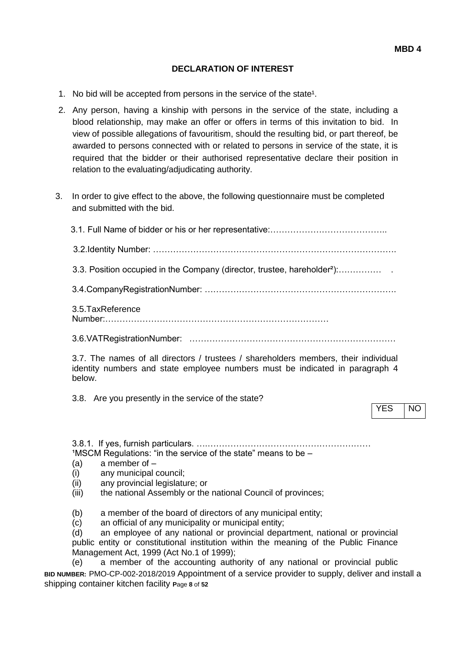#### **DECLARATION OF INTEREST**

- 1. No bid will be accepted from persons in the service of the state<sup>1</sup>.
- 2. Any person, having a kinship with persons in the service of the state, including a blood relationship, may make an offer or offers in terms of this invitation to bid. In view of possible allegations of favouritism, should the resulting bid, or part thereof, be awarded to persons connected with or related to persons in service of the state, it is required that the bidder or their authorised representative declare their position in relation to the evaluating/adjudicating authority.
- 3. In order to give effect to the above, the following questionnaire must be completed and submitted with the bid.

 3.1. Full Name of bidder or his or her representative:………………………………….. 3.2.Identity Number: ………………………………………………………………………….

3.3. Position occupied in the Company (director, trustee, hareholder²):…………… .

3.4.CompanyRegistrationNumber: ………………………………………………………….

3.5.TaxReference Number:……………………………………………………………………

3.6.VATRegistrationNumber: ………………………………………………………………

3.7. The names of all directors / trustees / shareholders members, their individual identity numbers and state employee numbers must be indicated in paragraph 4 below.

3.8. Are you presently in the service of the state?

YES NO

3.8.1. If yes, furnish particulars. ….…………………………………………………  $1$ MSCM Regulations: "in the service of the state" means to be  $-$ 

- $(a)$  a member of  $-$
- (i) any municipal council;
- (ii) any provincial legislature; or
- (iii) the national Assembly or the national Council of provinces;
- (b) a member of the board of directors of any municipal entity;
- (c) an official of any municipality or municipal entity;

(d) an employee of any national or provincial department, national or provincial public entity or constitutional institution within the meaning of the Public Finance Management Act, 1999 (Act No.1 of 1999);

**BID NUMBER:** PMO-CP-002-2018/2019 Appointment of a service provider to supply, deliver and install a shipping container kitchen facility **P**age **8** of **52** (e) a member of the accounting authority of any national or provincial public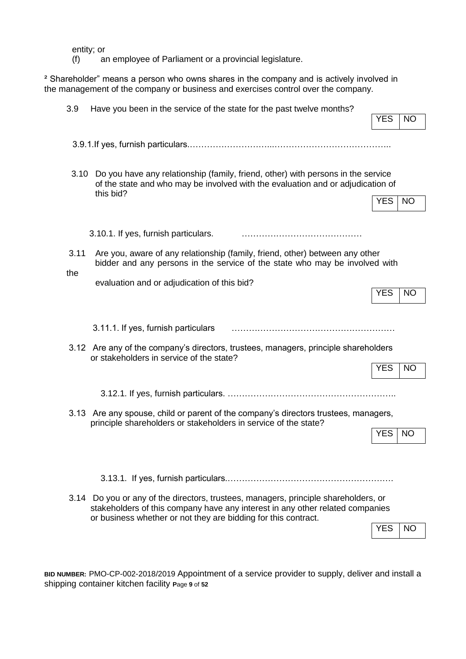entity; or

(f) an employee of Parliament or a provincial legislature.

² Shareholder" means a person who owns shares in the company and is actively involved in the management of the company or business and exercises control over the company.

| 3.9         | Have you been in the service of the state for the past twelve months?                                                                                                                                                                  | <b>YES</b> | <b>NO</b> |
|-------------|----------------------------------------------------------------------------------------------------------------------------------------------------------------------------------------------------------------------------------------|------------|-----------|
|             |                                                                                                                                                                                                                                        |            |           |
| 3.10        | Do you have any relationship (family, friend, other) with persons in the service<br>of the state and who may be involved with the evaluation and or adjudication of<br>this bid?                                                       | <b>YES</b> | <b>NO</b> |
|             | 3.10.1. If yes, furnish particulars.                                                                                                                                                                                                   |            |           |
| 3.11<br>the | Are you, aware of any relationship (family, friend, other) between any other<br>bidder and any persons in the service of the state who may be involved with                                                                            |            |           |
|             | evaluation and or adjudication of this bid?                                                                                                                                                                                            | YES        | NO        |
|             | 3.11.1. If yes, furnish particulars                                                                                                                                                                                                    |            |           |
|             | 3.12 Are any of the company's directors, trustees, managers, principle shareholders<br>or stakeholders in service of the state?                                                                                                        | <b>YES</b> | <b>NO</b> |
|             |                                                                                                                                                                                                                                        |            |           |
|             | 3.13 Are any spouse, child or parent of the company's directors trustees, managers,<br>principle shareholders or stakeholders in service of the state?                                                                                 |            |           |
|             |                                                                                                                                                                                                                                        | <b>YES</b> | NO        |
|             |                                                                                                                                                                                                                                        |            |           |
|             | 3.14 Do you or any of the directors, trustees, managers, principle shareholders, or<br>stakeholders of this company have any interest in any other related companies<br>or business whether or not they are bidding for this contract. | <b>YES</b> | NO        |

**BID NUMBER:** PMO-CP-002-2018/2019 Appointment of a service provider to supply, deliver and install a shipping container kitchen facility **P**age **9** of **52**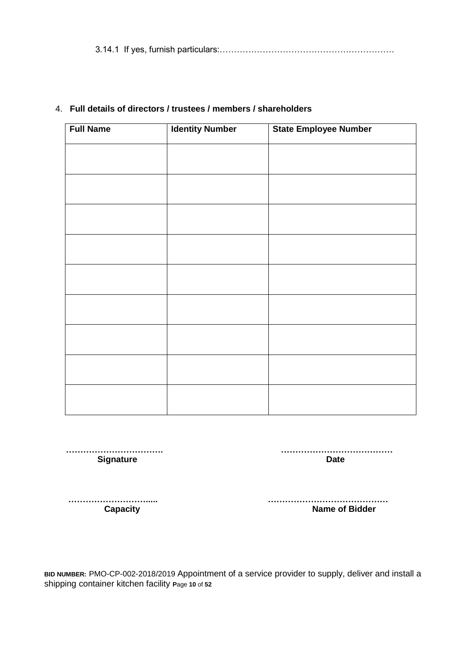3.14.1 If yes, furnish particulars:…………………………………………………….

| <b>Identity Number</b> | <b>State Employee Number</b> |
|------------------------|------------------------------|
|                        |                              |
|                        |                              |
|                        |                              |
|                        |                              |
|                        |                              |
|                        |                              |
|                        |                              |
|                        |                              |
|                        |                              |
|                        |                              |
|                        |                              |

# 4. **Full details of directors / trustees / members / shareholders**

 **……………………………. ………………………………… Signature Date** 

 **………………………..... …………………………………… Capacity Capacity Name of Bidder** 

**BID NUMBER:** PMO-CP-002-2018/2019 Appointment of a service provider to supply, deliver and install a shipping container kitchen facility **P**age **10** of **52**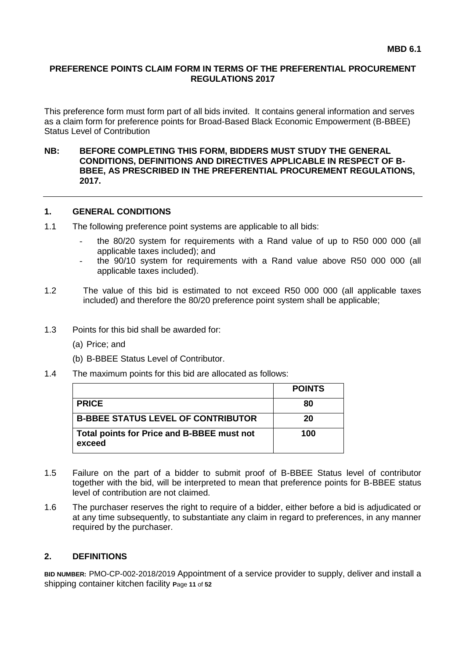#### **PREFERENCE POINTS CLAIM FORM IN TERMS OF THE PREFERENTIAL PROCUREMENT REGULATIONS 2017**

This preference form must form part of all bids invited. It contains general information and serves as a claim form for preference points for Broad-Based Black Economic Empowerment (B-BBEE) Status Level of Contribution

#### **NB: BEFORE COMPLETING THIS FORM, BIDDERS MUST STUDY THE GENERAL CONDITIONS, DEFINITIONS AND DIRECTIVES APPLICABLE IN RESPECT OF B-BBEE, AS PRESCRIBED IN THE PREFERENTIAL PROCUREMENT REGULATIONS, 2017.**

#### **1. GENERAL CONDITIONS**

- 1.1 The following preference point systems are applicable to all bids:
	- the 80/20 system for requirements with a Rand value of up to R50 000 000 (all applicable taxes included); and
	- the 90/10 system for requirements with a Rand value above R50 000 000 (all applicable taxes included).
- 1.2 The value of this bid is estimated to not exceed R50 000 000 (all applicable taxes included) and therefore the 80/20 preference point system shall be applicable;
- 1.3 Points for this bid shall be awarded for:
	- (a) Price; and
	- (b) B-BBEE Status Level of Contributor.
- 1.4 The maximum points for this bid are allocated as follows:

|                                                      | <b>POINTS</b> |
|------------------------------------------------------|---------------|
| <b>PRICE</b>                                         | 80            |
| <b>B-BBEE STATUS LEVEL OF CONTRIBUTOR</b>            | 20            |
| Total points for Price and B-BBEE must not<br>exceed | 100           |

- 1.5 Failure on the part of a bidder to submit proof of B-BBEE Status level of contributor together with the bid, will be interpreted to mean that preference points for B-BBEE status level of contribution are not claimed.
- 1.6 The purchaser reserves the right to require of a bidder, either before a bid is adjudicated or at any time subsequently, to substantiate any claim in regard to preferences, in any manner required by the purchaser.

#### **2. DEFINITIONS**

**BID NUMBER:** PMO-CP-002-2018/2019 Appointment of a service provider to supply, deliver and install a shipping container kitchen facility **P**age **11** of **52**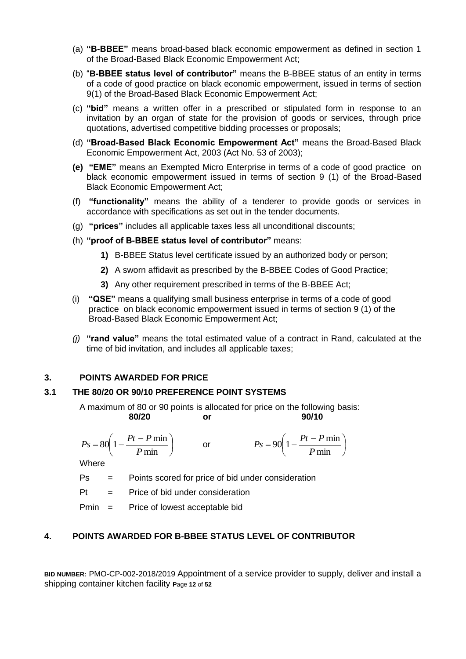- (a) **"B-BBEE"** means broad-based black economic empowerment as defined in section 1 of the Broad-Based Black Economic Empowerment Act;
- (b) "**B-BBEE status level of contributor"** means the B-BBEE status of an entity in terms of a code of good practice on black economic empowerment, issued in terms of section 9(1) of the Broad-Based Black Economic Empowerment Act;
- (c) **"bid"** means a written offer in a prescribed or stipulated form in response to an invitation by an organ of state for the provision of goods or services, through price quotations, advertised competitive bidding processes or proposals;
- (d) **"Broad-Based Black Economic Empowerment Act"** means the Broad-Based Black Economic Empowerment Act, 2003 (Act No. 53 of 2003);
- **(e) "EME"** means an Exempted Micro Enterprise in terms of a code of good practice on black economic empowerment issued in terms of section 9 (1) of the Broad-Based Black Economic Empowerment Act;
- (f) **"functionality"** means the ability of a tenderer to provide goods or services in accordance with specifications as set out in the tender documents.
- (g) **"prices"** includes all applicable taxes less all unconditional discounts;
- (h) **"proof of B-BBEE status level of contributor"** means:
	- **1)** B-BBEE Status level certificate issued by an authorized body or person;
	- **2)** A sworn affidavit as prescribed by the B-BBEE Codes of Good Practice;
	- **3)** Any other requirement prescribed in terms of the B-BBEE Act;
- (i) **"QSE"** means a qualifying small business enterprise in terms of a code of good practice on black economic empowerment issued in terms of section 9 (1) of the Broad-Based Black Economic Empowerment Act;
- *(j)* **"rand value"** means the total estimated value of a contract in Rand, calculated at the time of bid invitation, and includes all applicable taxes;

#### **3. POINTS AWARDED FOR PRICE**

#### **3.1 THE 80/20 OR 90/10 PREFERENCE POINT SYSTEMS**

A maximum of 80 or 90 points is allocated for price on the following basis: **80/20 or 90/10**

 $\overline{\phantom{a}}$ J  $\left(1-\frac{Pt-P\min}{R}\right)$  $\setminus$  $=80\left(1-\frac{Pt-}{\right)$ min  $80\left(1-\frac{Pt-P\min}{\sum_{i=1}^{n}H_i}\right)$ *P*  $P_s = 80 \left( 1 - \frac{Pt - P}{r} \right)$ or  $\overline{\phantom{a}}$ J  $\left(1-\frac{Pt-P\min}{R}\right)$  $\setminus$  $=90\left(1-\frac{Pt}{\sqrt{2}}\right)$ min  $90 \left( 1 - \frac{Pt - P \min}{\sum_{i=1}^{n} \frac{F}{\max_{i=1}^{n} P} \right)$ *P*  $P_s = 90 \left( 1 - \frac{Pt - P}{r} \right)$ 

Where

Ps = Points scored for price of bid under consideration

 $Pt =$  Price of bid under consideration

Pmin = Price of lowest acceptable bid

#### **4. POINTS AWARDED FOR B-BBEE STATUS LEVEL OF CONTRIBUTOR**

**BID NUMBER:** PMO-CP-002-2018/2019 Appointment of a service provider to supply, deliver and install a shipping container kitchen facility **P**age **12** of **52**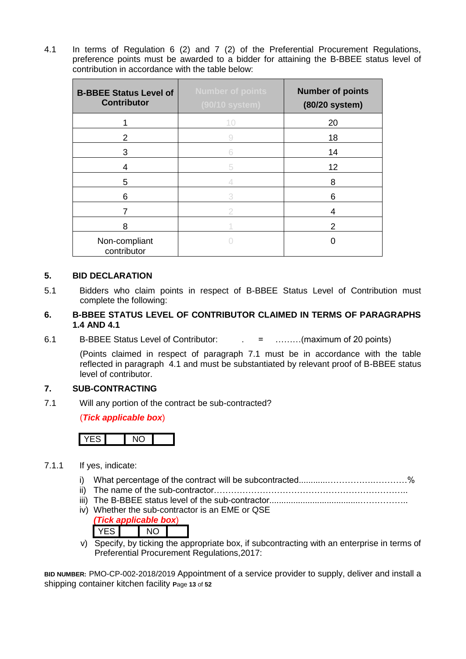4.1 In terms of Regulation 6 (2) and 7 (2) of the Preferential Procurement Regulations, preference points must be awarded to a bidder for attaining the B-BBEE status level of contribution in accordance with the table below:

| <b>B-BBEE Status Level of</b><br><b>Contributor</b> | <b>Number of points</b><br>(90/10 system) | <b>Number of points</b><br>(80/20 system) |
|-----------------------------------------------------|-------------------------------------------|-------------------------------------------|
|                                                     | 10                                        | 20                                        |
| 2                                                   | 9                                         | 18                                        |
| 3                                                   | 6                                         | 14                                        |
| 4                                                   | 5                                         | 12                                        |
| 5                                                   |                                           | 8                                         |
| 6                                                   | 3                                         | 6                                         |
|                                                     | 2                                         | 4                                         |
| 8                                                   |                                           | 2                                         |
| Non-compliant<br>contributor                        |                                           |                                           |

#### **5. BID DECLARATION**

- 5.1 Bidders who claim points in respect of B-BBEE Status Level of Contribution must complete the following:
- **6. B-BBEE STATUS LEVEL OF CONTRIBUTOR CLAIMED IN TERMS OF PARAGRAPHS 1.4 AND 4.1**
- 6.1 B-BBEE Status Level of Contributor: . = ………(maximum of 20 points)

(Points claimed in respect of paragraph 7.1 must be in accordance with the table reflected in paragraph 4.1 and must be substantiated by relevant proof of B-BBEE status level of contributor.

#### **7. SUB-CONTRACTING**

7.1 Will any portion of the contract be sub-contracted?

(*Tick applicable box*)

- 7.1.1 If yes, indicate:
	- i) What percentage of the contract will be subcontracted............…………….…………%
	- ii) The name of the sub-contractor…………………………………………………………..
	- iii) The B-BBEE status level of the sub-contractor......................................……………..
	- iv) Whether the sub-contractor is an EME or QSE



v) Specify, by ticking the appropriate box, if subcontracting with an enterprise in terms of Preferential Procurement Regulations,2017:

**BID NUMBER:** PMO-CP-002-2018/2019 Appointment of a service provider to supply, deliver and install a shipping container kitchen facility **P**age **13** of **52**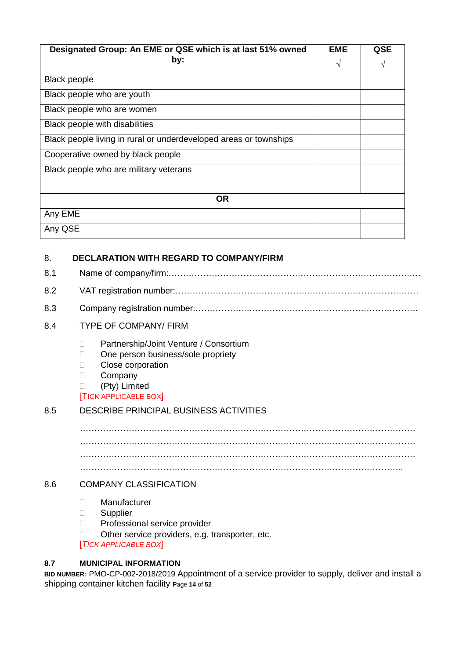| Designated Group: An EME or QSE which is at last 51% owned        |   | QSE |
|-------------------------------------------------------------------|---|-----|
| by:                                                               | V | V   |
| <b>Black people</b>                                               |   |     |
| Black people who are youth                                        |   |     |
| Black people who are women                                        |   |     |
| Black people with disabilities                                    |   |     |
| Black people living in rural or underdeveloped areas or townships |   |     |
| Cooperative owned by black people                                 |   |     |
| Black people who are military veterans                            |   |     |
|                                                                   |   |     |
| <b>OR</b>                                                         |   |     |
| Any EME                                                           |   |     |
| Any QSE                                                           |   |     |

## 8. **DECLARATION WITH REGARD TO COMPANY/FIRM**

| 8.1 |                                                                                                                                                                            |  |  |  |
|-----|----------------------------------------------------------------------------------------------------------------------------------------------------------------------------|--|--|--|
| 8.2 |                                                                                                                                                                            |  |  |  |
| 8.3 |                                                                                                                                                                            |  |  |  |
| 8.4 | <b>TYPE OF COMPANY/ FIRM</b>                                                                                                                                               |  |  |  |
|     | Partnership/Joint Venture / Consortium<br>П<br>One person business/sole propriety<br>$\Box$<br>Close corporation<br>Company<br>(Pty) Limited<br><b>TICK APPLICABLE BOX</b> |  |  |  |
| 8.5 | DESCRIBE PRINCIPAL BUSINESS ACTIVITIES                                                                                                                                     |  |  |  |
|     |                                                                                                                                                                            |  |  |  |
|     |                                                                                                                                                                            |  |  |  |
|     |                                                                                                                                                                            |  |  |  |
|     |                                                                                                                                                                            |  |  |  |
| 8.6 | <b>COMPANY CLASSIFICATION</b>                                                                                                                                              |  |  |  |
|     | Manufacturer<br>П<br>Supplier<br>П<br>Professional service provider<br>П<br>Other service providers, e.g. transporter, etc.<br>П                                           |  |  |  |

[*TICK APPLICABLE BOX*]

## **8.7 MUNICIPAL INFORMATION**

**BID NUMBER:** PMO-CP-002-2018/2019 Appointment of a service provider to supply, deliver and install a shipping container kitchen facility **P**age **14** of **52**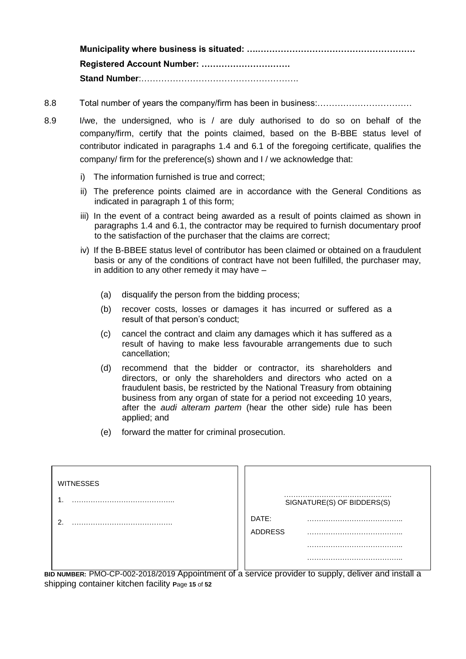**Municipality where business is situated: ….………………………………………………. Registered Account Number: …………………………. Stand Number**:……………………………………………….

- 8.8 Total number of years the company/firm has been in business:……………………………
- 8.9 I/we, the undersigned, who is / are duly authorised to do so on behalf of the company/firm, certify that the points claimed, based on the B-BBE status level of contributor indicated in paragraphs 1.4 and 6.1 of the foregoing certificate, qualifies the company/ firm for the preference(s) shown and I / we acknowledge that:
	- i) The information furnished is true and correct;
	- ii) The preference points claimed are in accordance with the General Conditions as indicated in paragraph 1 of this form;
	- iii) In the event of a contract being awarded as a result of points claimed as shown in paragraphs 1.4 and 6.1, the contractor may be required to furnish documentary proof to the satisfaction of the purchaser that the claims are correct;
	- iv) If the B-BBEE status level of contributor has been claimed or obtained on a fraudulent basis or any of the conditions of contract have not been fulfilled, the purchaser may, in addition to any other remedy it may have –
		- (a) disqualify the person from the bidding process;
		- (b) recover costs, losses or damages it has incurred or suffered as a result of that person's conduct;
		- (c) cancel the contract and claim any damages which it has suffered as a result of having to make less favourable arrangements due to such cancellation;
		- (d) recommend that the bidder or contractor, its shareholders and directors, or only the shareholders and directors who acted on a fraudulent basis, be restricted by the National Treasury from obtaining business from any organ of state for a period not exceeding 10 years, after the *audi alteram partem* (hear the other side) rule has been applied; and
		- (e) forward the matter for criminal prosecution.

| <b>WITNESSES</b> |                                                                                          |
|------------------|------------------------------------------------------------------------------------------|
|                  | SIGNATURE(S) OF BIDDERS(S)                                                               |
| ົ                | DATE:<br><b>ADDRESS</b>                                                                  |
|                  |                                                                                          |
| $\cdot$ $\cdot$  | $\overline{\phantom{a}}$<br>$\cdot$ $\cdot$<br>$\mathbf{r}$<br>$\cdot$ $\cdot$<br>$\sim$ |

**BID NUMBER:** PMO-CP-002-2018/2019 Appointment of a service provider to supply, deliver and install a shipping container kitchen facility **P**age **15** of **52**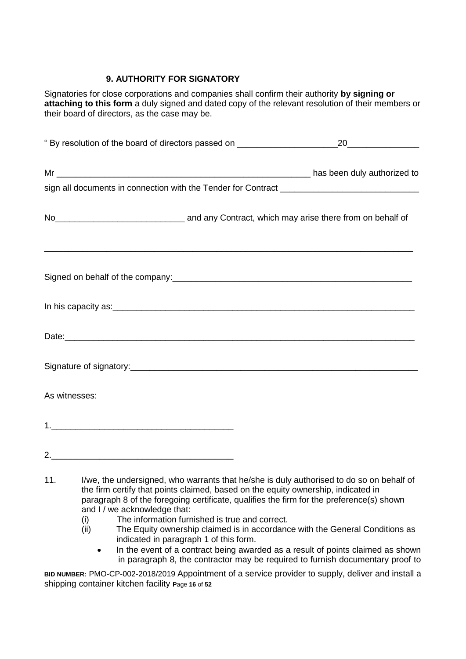# **9. AUTHORITY FOR SIGNATORY**

Signatories for close corporations and companies shall confirm their authority **by signing or attaching to this form** a duly signed and dated copy of the relevant resolution of their members or their board of directors, as the case may be.

|     | " By resolution of the board of directors passed on ____________________________                                                                                                                                                                                                                                                                                                                                                                           | 20 |
|-----|------------------------------------------------------------------------------------------------------------------------------------------------------------------------------------------------------------------------------------------------------------------------------------------------------------------------------------------------------------------------------------------------------------------------------------------------------------|----|
|     |                                                                                                                                                                                                                                                                                                                                                                                                                                                            |    |
|     |                                                                                                                                                                                                                                                                                                                                                                                                                                                            |    |
|     | No <sub>__________________________________</sub> and any Contract, which may arise there from on behalf of                                                                                                                                                                                                                                                                                                                                                 |    |
|     | Signed on behalf of the company: example and the company of the company of the company of the company of the company of the company of the company of the company of the company of the company of the company of the company                                                                                                                                                                                                                              |    |
|     |                                                                                                                                                                                                                                                                                                                                                                                                                                                            |    |
|     |                                                                                                                                                                                                                                                                                                                                                                                                                                                            |    |
|     |                                                                                                                                                                                                                                                                                                                                                                                                                                                            |    |
|     | As witnesses:                                                                                                                                                                                                                                                                                                                                                                                                                                              |    |
|     |                                                                                                                                                                                                                                                                                                                                                                                                                                                            |    |
|     |                                                                                                                                                                                                                                                                                                                                                                                                                                                            |    |
| 11. | I/we, the undersigned, who warrants that he/she is duly authorised to do so on behalf of<br>the firm certify that points claimed, based on the equity ownership, indicated in<br>paragraph 8 of the foregoing certificate, qualifies the firm for the preference(s) shown<br>and I / we acknowledge that:<br>The information furnished is true and correct.<br>(i)<br>The Equity ownership claimed is in accordance with the General Conditions as<br>(ii) |    |

- indicated in paragraph 1 of this form.
- In the event of a contract being awarded as a result of points claimed as shown in paragraph 8, the contractor may be required to furnish documentary proof to

**BID NUMBER:** PMO-CP-002-2018/2019 Appointment of a service provider to supply, deliver and install a shipping container kitchen facility **P**age **16** of **52**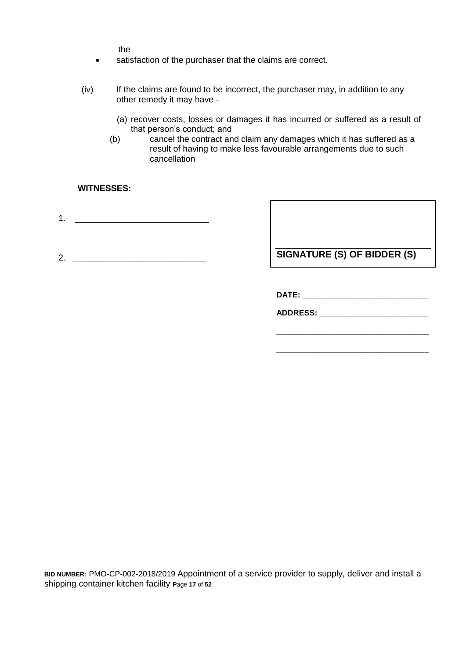the

- satisfaction of the purchaser that the claims are correct.
- (iv) If the claims are found to be incorrect, the purchaser may, in addition to any other remedy it may have -
	- (a) recover costs, losses or damages it has incurred or suffered as a result of that person's conduct; and
	- (b) cancel the contract and claim any damages which it has suffered as a result of having to make less favourable arrangements due to such cancellation

#### **WITNESSES:**

- 1. \_\_\_\_\_\_\_\_\_\_\_\_\_\_\_\_\_\_\_\_\_\_\_\_\_\_\_\_
- 2. \_\_\_\_\_\_\_\_\_\_\_\_\_\_\_\_\_\_\_\_\_\_\_\_\_\_\_\_

**SIGNATURE (S) OF BIDDER (S)**

**DATE: \_\_\_\_\_\_\_\_\_\_\_\_\_\_\_\_\_\_\_\_\_\_\_\_\_\_\_\_\_**

\_\_\_\_\_\_\_\_\_\_\_\_\_\_\_\_\_\_\_\_\_\_\_\_\_\_\_\_\_\_\_\_\_\_\_

\_\_\_\_\_\_\_\_\_\_\_\_\_\_\_\_\_\_\_\_\_\_\_\_\_\_\_\_\_\_\_\_\_\_\_

**ADDRESS: \_\_\_\_\_\_\_\_\_\_\_\_\_\_\_\_\_\_\_\_\_\_\_\_\_**

**BID NUMBER:** PMO-CP-002-2018/2019 Appointment of a service provider to supply, deliver and install a shipping container kitchen facility **P**age **17** of **52**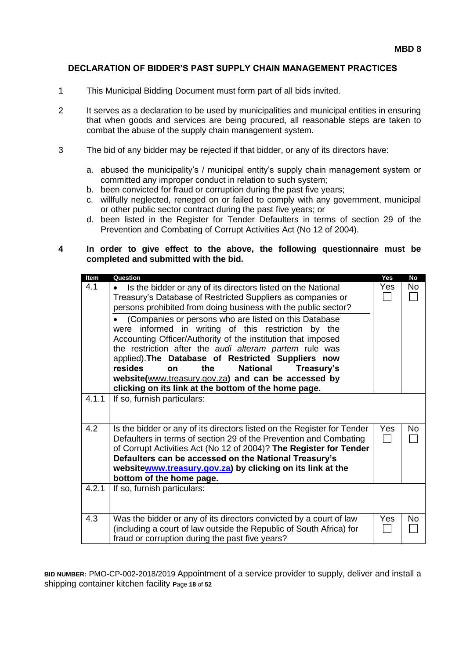#### **DECLARATION OF BIDDER'S PAST SUPPLY CHAIN MANAGEMENT PRACTICES**

- 1 This Municipal Bidding Document must form part of all bids invited.
- 2 It serves as a declaration to be used by municipalities and municipal entities in ensuring that when goods and services are being procured, all reasonable steps are taken to combat the abuse of the supply chain management system.
- 3 The bid of any bidder may be rejected if that bidder, or any of its directors have:
	- a. abused the municipality's / municipal entity's supply chain management system or committed any improper conduct in relation to such system;
	- b. been convicted for fraud or corruption during the past five years;
	- c. willfully neglected, reneged on or failed to comply with any government, municipal or other public sector contract during the past five years; or
	- d. been listed in the Register for Tender Defaulters in terms of section 29 of the Prevention and Combating of Corrupt Activities Act (No 12 of 2004).

#### **4 In order to give effect to the above, the following questionnaire must be completed and submitted with the bid.**

| Item  | Question                                                                  | Yes  | <b>No</b> |  |
|-------|---------------------------------------------------------------------------|------|-----------|--|
| 4.1   | Is the bidder or any of its directors listed on the National<br>$\bullet$ | Yes  | No.       |  |
|       | Treasury's Database of Restricted Suppliers as companies or               |      |           |  |
|       | persons prohibited from doing business with the public sector?            |      |           |  |
|       | (Companies or persons who are listed on this Database                     |      |           |  |
|       | were informed in writing of this restriction by the                       |      |           |  |
|       | Accounting Officer/Authority of the institution that imposed              |      |           |  |
|       | the restriction after the audi alteram partem rule was                    |      |           |  |
|       | applied). The Database of Restricted Suppliers now                        |      |           |  |
|       | resides<br>the<br><b>National</b><br>Treasury's<br>on                     |      |           |  |
|       | website(www.treasury.gov.za) and can be accessed by                       |      |           |  |
|       | clicking on its link at the bottom of the home page.                      |      |           |  |
| 4.1.1 | If so, furnish particulars:                                               |      |           |  |
|       |                                                                           |      |           |  |
|       |                                                                           |      |           |  |
| 4.2   | Is the bidder or any of its directors listed on the Register for Tender   | Yes. | No.       |  |
|       | Defaulters in terms of section 29 of the Prevention and Combating         |      |           |  |
|       | of Corrupt Activities Act (No 12 of 2004)? The Register for Tender        |      |           |  |
|       | Defaulters can be accessed on the National Treasury's                     |      |           |  |
|       | websitewww.treasury.gov.za) by clicking on its link at the                |      |           |  |
|       | bottom of the home page.                                                  |      |           |  |
| 4.2.1 | If so, furnish particulars:                                               |      |           |  |
|       |                                                                           |      |           |  |
|       |                                                                           |      |           |  |
| 4.3   | Was the bidder or any of its directors convicted by a court of law        | Yes  | <b>No</b> |  |
|       | (including a court of law outside the Republic of South Africa) for       |      |           |  |
|       | fraud or corruption during the past five years?                           |      |           |  |
|       |                                                                           |      |           |  |

**BID NUMBER:** PMO-CP-002-2018/2019 Appointment of a service provider to supply, deliver and install a shipping container kitchen facility **P**age **18** of **52**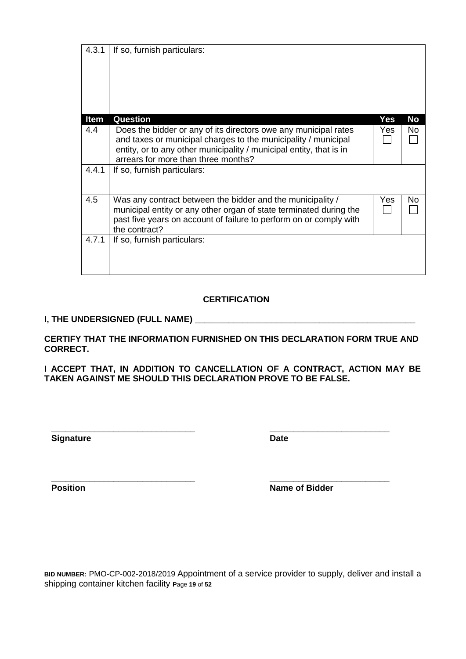| 4.3.1       | If so, furnish particulars:                                                                                                                                                                                                                     |     |           |
|-------------|-------------------------------------------------------------------------------------------------------------------------------------------------------------------------------------------------------------------------------------------------|-----|-----------|
| <b>Item</b> | Question                                                                                                                                                                                                                                        | Yes | <b>No</b> |
| 4.4         | Does the bidder or any of its directors owe any municipal rates<br>and taxes or municipal charges to the municipality / municipal<br>entity, or to any other municipality / municipal entity, that is in<br>arrears for more than three months? | Yes | <b>No</b> |
| 4.4.1       | If so, furnish particulars:                                                                                                                                                                                                                     |     |           |
| 4.5         | Was any contract between the bidder and the municipality /<br>municipal entity or any other organ of state terminated during the<br>past five years on account of failure to perform on or comply with<br>the contract?                         | Yes | No        |
| 4.7.1       | If so, furnish particulars:                                                                                                                                                                                                                     |     |           |

# **CERTIFICATION**

#### **I, THE UNDERSIGNED (FULL NAME) \_\_\_\_\_\_\_\_\_\_\_\_\_\_\_\_\_\_\_\_\_\_\_\_\_\_\_\_\_\_\_\_\_\_\_\_\_\_\_\_\_\_\_\_\_\_**

**CERTIFY THAT THE INFORMATION FURNISHED ON THIS DECLARATION FORM TRUE AND CORRECT.**

**I ACCEPT THAT, IN ADDITION TO CANCELLATION OF A CONTRACT, ACTION MAY BE TAKEN AGAINST ME SHOULD THIS DECLARATION PROVE TO BE FALSE.**

**Signature Date** 

**\_\_\_\_\_\_\_\_\_\_\_\_\_\_\_\_\_\_\_\_\_\_\_\_\_\_\_\_\_\_ \_\_\_\_\_\_\_\_\_\_\_\_\_\_\_\_\_\_\_\_\_\_\_\_\_**

**\_\_\_\_\_\_\_\_\_\_\_\_\_\_\_\_\_\_\_\_\_\_\_\_\_\_\_\_\_\_ \_\_\_\_\_\_\_\_\_\_\_\_\_\_\_\_\_\_\_\_\_\_\_\_\_ Position Name of Bidder** 

**BID NUMBER:** PMO-CP-002-2018/2019 Appointment of a service provider to supply, deliver and install a shipping container kitchen facility **P**age **19** of **52**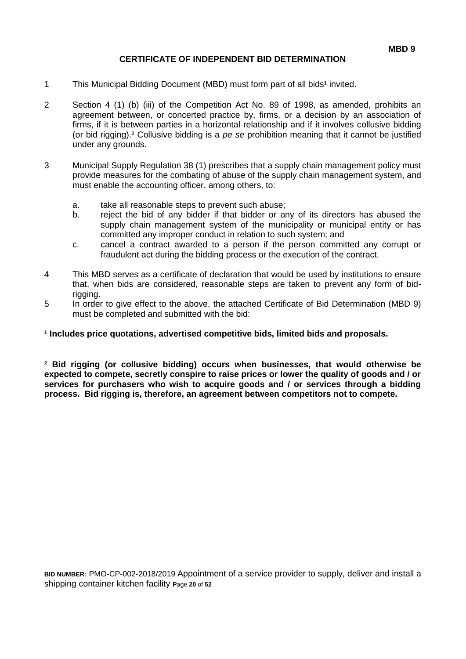#### **CERTIFICATE OF INDEPENDENT BID DETERMINATION**

- 1 This Municipal Bidding Document (MBD) must form part of all bids<sup>1</sup> invited.
- 2 Section 4 (1) (b) (iii) of the Competition Act No. 89 of 1998, as amended, prohibits an agreement between, or concerted practice by, firms, or a decision by an association of firms, if it is between parties in a horizontal relationship and if it involves collusive bidding (or bid rigging).² Collusive bidding is a *pe se* prohibition meaning that it cannot be justified under any grounds.
- 3 Municipal Supply Regulation 38 (1) prescribes that a supply chain management policy must provide measures for the combating of abuse of the supply chain management system, and must enable the accounting officer, among others, to:
	- a. take all reasonable steps to prevent such abuse;
	- b. reject the bid of any bidder if that bidder or any of its directors has abused the supply chain management system of the municipality or municipal entity or has committed any improper conduct in relation to such system; and
	- c. cancel a contract awarded to a person if the person committed any corrupt or fraudulent act during the bidding process or the execution of the contract.
- 4 This MBD serves as a certificate of declaration that would be used by institutions to ensure that, when bids are considered, reasonable steps are taken to prevent any form of bidrigging.
- 5 In order to give effect to the above, the attached Certificate of Bid Determination (MBD 9) must be completed and submitted with the bid:

#### **¹ Includes price quotations, advertised competitive bids, limited bids and proposals.**

**² Bid rigging (or collusive bidding) occurs when businesses, that would otherwise be expected to compete, secretly conspire to raise prices or lower the quality of goods and / or services for purchasers who wish to acquire goods and / or services through a bidding process. Bid rigging is, therefore, an agreement between competitors not to compete.**

**BID NUMBER:** PMO-CP-002-2018/2019 Appointment of a service provider to supply, deliver and install a shipping container kitchen facility **P**age **20** of **52**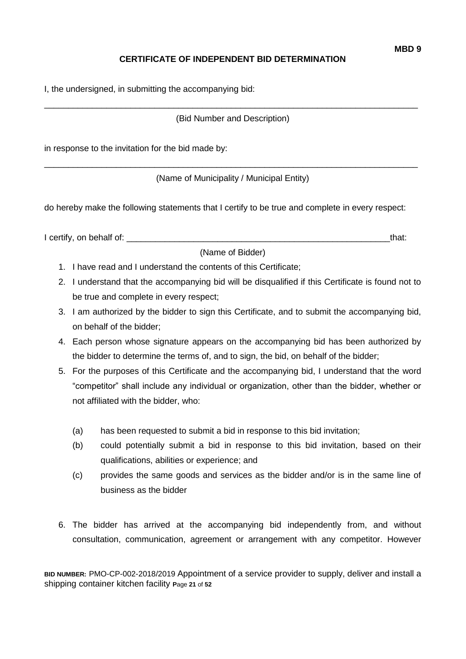# **CERTIFICATE OF INDEPENDENT BID DETERMINATION**

I, the undersigned, in submitting the accompanying bid:

\_\_\_\_\_\_\_\_\_\_\_\_\_\_\_\_\_\_\_\_\_\_\_\_\_\_\_\_\_\_\_\_\_\_\_\_\_\_\_\_\_\_\_\_\_\_\_\_\_\_\_\_\_\_\_\_\_\_\_\_\_\_\_\_\_\_\_\_\_\_\_\_\_\_\_\_\_\_ (Bid Number and Description)

in response to the invitation for the bid made by:

\_\_\_\_\_\_\_\_\_\_\_\_\_\_\_\_\_\_\_\_\_\_\_\_\_\_\_\_\_\_\_\_\_\_\_\_\_\_\_\_\_\_\_\_\_\_\_\_\_\_\_\_\_\_\_\_\_\_\_\_\_\_\_\_\_\_\_\_\_\_\_\_\_\_\_\_\_\_ (Name of Municipality / Municipal Entity)

do hereby make the following statements that I certify to be true and complete in every respect:

I certify, on behalf of: that:

(Name of Bidder)

- 1. I have read and I understand the contents of this Certificate;
- 2. I understand that the accompanying bid will be disqualified if this Certificate is found not to be true and complete in every respect;
- 3. I am authorized by the bidder to sign this Certificate, and to submit the accompanying bid, on behalf of the bidder;
- 4. Each person whose signature appears on the accompanying bid has been authorized by the bidder to determine the terms of, and to sign, the bid, on behalf of the bidder;
- 5. For the purposes of this Certificate and the accompanying bid, I understand that the word "competitor" shall include any individual or organization, other than the bidder, whether or not affiliated with the bidder, who:
	- (a) has been requested to submit a bid in response to this bid invitation;
	- (b) could potentially submit a bid in response to this bid invitation, based on their qualifications, abilities or experience; and
	- (c) provides the same goods and services as the bidder and/or is in the same line of business as the bidder
- 6. The bidder has arrived at the accompanying bid independently from, and without consultation, communication, agreement or arrangement with any competitor. However

**BID NUMBER:** PMO-CP-002-2018/2019 Appointment of a service provider to supply, deliver and install a shipping container kitchen facility **P**age **21** of **52**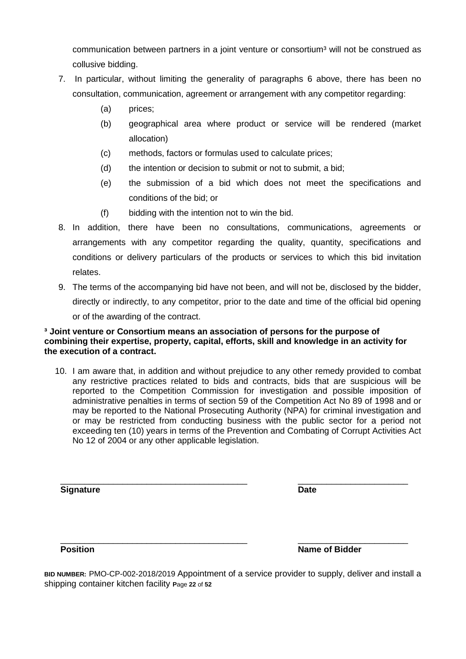communication between partners in a joint venture or consortium<sup>3</sup> will not be construed as collusive bidding.

- 7. In particular, without limiting the generality of paragraphs 6 above, there has been no consultation, communication, agreement or arrangement with any competitor regarding:
	- (a) prices;
	- (b) geographical area where product or service will be rendered (market allocation)
	- (c) methods, factors or formulas used to calculate prices;
	- (d) the intention or decision to submit or not to submit, a bid;
	- (e) the submission of a bid which does not meet the specifications and conditions of the bid; or
	- (f) bidding with the intention not to win the bid.
- 8. In addition, there have been no consultations, communications, agreements or arrangements with any competitor regarding the quality, quantity, specifications and conditions or delivery particulars of the products or services to which this bid invitation relates.
- 9. The terms of the accompanying bid have not been, and will not be, disclosed by the bidder, directly or indirectly, to any competitor, prior to the date and time of the official bid opening or of the awarding of the contract.

#### **³ Joint venture or Consortium means an association of persons for the purpose of combining their expertise, property, capital, efforts, skill and knowledge in an activity for the execution of a contract.**

10. I am aware that, in addition and without prejudice to any other remedy provided to combat any restrictive practices related to bids and contracts, bids that are suspicious will be reported to the Competition Commission for investigation and possible imposition of administrative penalties in terms of section 59 of the Competition Act No 89 of 1998 and or may be reported to the National Prosecuting Authority (NPA) for criminal investigation and or may be restricted from conducting business with the public sector for a period not exceeding ten (10) years in terms of the Prevention and Combating of Corrupt Activities Act No 12 of 2004 or any other applicable legislation.

**Signature Date**

\_\_\_\_\_\_\_\_\_\_\_\_\_\_\_\_\_\_\_\_\_\_\_\_\_\_\_\_\_\_\_\_\_\_\_\_\_\_\_ \_\_\_\_\_\_\_\_\_\_\_\_\_\_\_\_\_\_\_\_\_\_\_

\_\_\_\_\_\_\_\_\_\_\_\_\_\_\_\_\_\_\_\_\_\_\_\_\_\_\_\_\_\_\_\_\_\_\_\_\_\_\_ \_\_\_\_\_\_\_\_\_\_\_\_\_\_\_\_\_\_\_\_\_\_\_ **Position Position Name of Bidder** 

**BID NUMBER:** PMO-CP-002-2018/2019 Appointment of a service provider to supply, deliver and install a shipping container kitchen facility **P**age **22** of **52**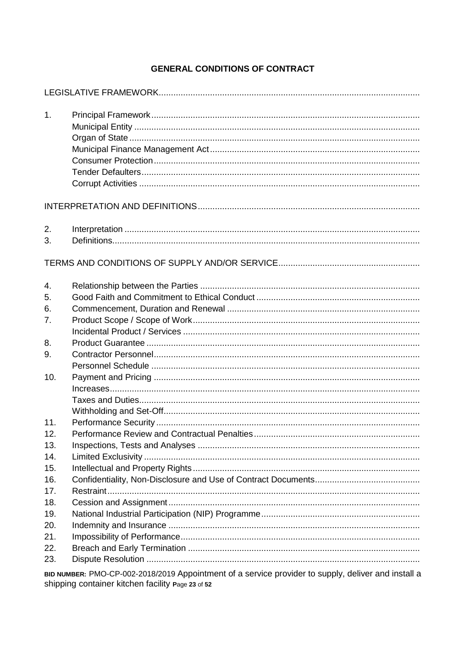# **GENERAL CONDITIONS OF CONTRACT**

| 1.       |  |
|----------|--|
|          |  |
| 2.<br>3. |  |
|          |  |
| 4.       |  |
| 5.       |  |
| 6.       |  |
| 7.       |  |
|          |  |
| 8.       |  |
| 9.       |  |
|          |  |
| 10.      |  |
|          |  |
|          |  |
|          |  |
| 11.      |  |
| 12.      |  |
| 13.      |  |
| 14.      |  |
| 15.      |  |
| 16.      |  |
| 17.      |  |
| 18.      |  |
| 19.      |  |
| 20.      |  |
| 21.      |  |
| 22.      |  |
| 23.      |  |
|          |  |

BID NUMBER: PMO-CP-002-2018/2019 Appointment of a service provider to supply, deliver and install a shipping container kitchen facility Page 23 of 52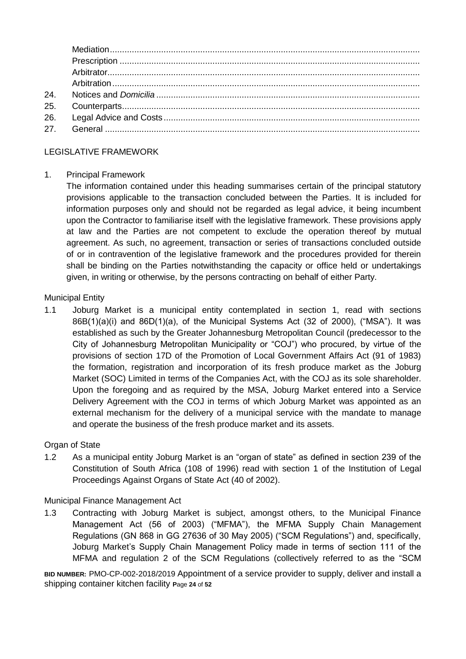| 26. |  |
|-----|--|
|     |  |
|     |  |

# LEGISLATIVE FRAMEWORK

#### 1. Principal Framework

The information contained under this heading summarises certain of the principal statutory provisions applicable to the transaction concluded between the Parties. It is included for information purposes only and should not be regarded as legal advice, it being incumbent upon the Contractor to familiarise itself with the legislative framework. These provisions apply at law and the Parties are not competent to exclude the operation thereof by mutual agreement. As such, no agreement, transaction or series of transactions concluded outside of or in contravention of the legislative framework and the procedures provided for therein shall be binding on the Parties notwithstanding the capacity or office held or undertakings given, in writing or otherwise, by the persons contracting on behalf of either Party.

#### Municipal Entity

1.1 Joburg Market is a municipal entity contemplated in section 1, read with sections 86B(1)(a)(i) and 86D(1)(a), of the Municipal Systems Act (32 of 2000), ("MSA"). It was established as such by the Greater Johannesburg Metropolitan Council (predecessor to the City of Johannesburg Metropolitan Municipality or "COJ") who procured, by virtue of the provisions of section 17D of the Promotion of Local Government Affairs Act (91 of 1983) the formation, registration and incorporation of its fresh produce market as the Joburg Market (SOC) Limited in terms of the Companies Act, with the COJ as its sole shareholder. Upon the foregoing and as required by the MSA, Joburg Market entered into a Service Delivery Agreement with the COJ in terms of which Joburg Market was appointed as an external mechanism for the delivery of a municipal service with the mandate to manage and operate the business of the fresh produce market and its assets.

## Organ of State

1.2 As a municipal entity Joburg Market is an "organ of state" as defined in section 239 of the Constitution of South Africa (108 of 1996) read with section 1 of the Institution of Legal Proceedings Against Organs of State Act (40 of 2002).

#### Municipal Finance Management Act

1.3 Contracting with Joburg Market is subject, amongst others, to the Municipal Finance Management Act (56 of 2003) ("MFMA"), the MFMA Supply Chain Management Regulations (GN 868 in GG 27636 of 30 May 2005) ("SCM Regulations") and, specifically, Joburg Market's Supply Chain Management Policy made in terms of section 111 of the MFMA and regulation 2 of the SCM Regulations (collectively referred to as the "SCM

**BID NUMBER:** PMO-CP-002-2018/2019 Appointment of a service provider to supply, deliver and install a shipping container kitchen facility **P**age **24** of **52**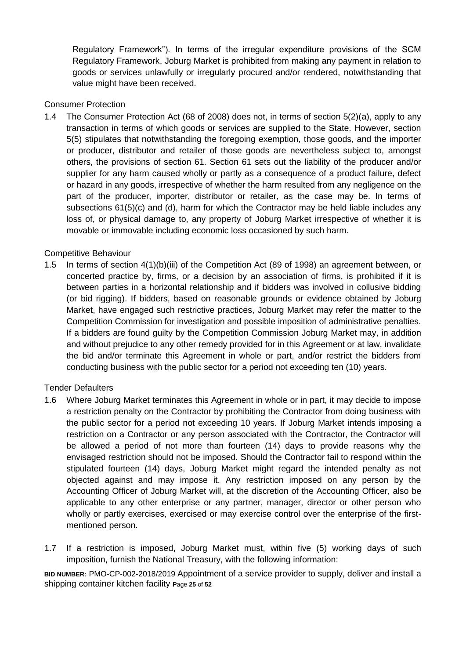Regulatory Framework"). In terms of the irregular expenditure provisions of the SCM Regulatory Framework, Joburg Market is prohibited from making any payment in relation to goods or services unlawfully or irregularly procured and/or rendered, notwithstanding that value might have been received.

#### Consumer Protection

1.4 The Consumer Protection Act (68 of 2008) does not, in terms of section 5(2)(a), apply to any transaction in terms of which goods or services are supplied to the State. However, section 5(5) stipulates that notwithstanding the foregoing exemption, those goods, and the importer or producer, distributor and retailer of those goods are nevertheless subject to, amongst others, the provisions of section 61. Section 61 sets out the liability of the producer and/or supplier for any harm caused wholly or partly as a consequence of a product failure, defect or hazard in any goods, irrespective of whether the harm resulted from any negligence on the part of the producer, importer, distributor or retailer, as the case may be. In terms of subsections 61(5)(c) and (d), harm for which the Contractor may be held liable includes any loss of, or physical damage to, any property of Joburg Market irrespective of whether it is movable or immovable including economic loss occasioned by such harm.

#### Competitive Behaviour

1.5 In terms of section 4(1)(b)(iii) of the Competition Act (89 of 1998) an agreement between, or concerted practice by, firms, or a decision by an association of firms, is prohibited if it is between parties in a horizontal relationship and if bidders was involved in collusive bidding (or bid rigging). If bidders, based on reasonable grounds or evidence obtained by Joburg Market, have engaged such restrictive practices, Joburg Market may refer the matter to the Competition Commission for investigation and possible imposition of administrative penalties. If a bidders are found guilty by the Competition Commission Joburg Market may, in addition and without prejudice to any other remedy provided for in this Agreement or at law, invalidate the bid and/or terminate this Agreement in whole or part, and/or restrict the bidders from conducting business with the public sector for a period not exceeding ten (10) years.

#### Tender Defaulters

- 1.6 Where Joburg Market terminates this Agreement in whole or in part, it may decide to impose a restriction penalty on the Contractor by prohibiting the Contractor from doing business with the public sector for a period not exceeding 10 years. If Joburg Market intends imposing a restriction on a Contractor or any person associated with the Contractor, the Contractor will be allowed a period of not more than fourteen (14) days to provide reasons why the envisaged restriction should not be imposed. Should the Contractor fail to respond within the stipulated fourteen (14) days, Joburg Market might regard the intended penalty as not objected against and may impose it. Any restriction imposed on any person by the Accounting Officer of Joburg Market will, at the discretion of the Accounting Officer, also be applicable to any other enterprise or any partner, manager, director or other person who wholly or partly exercises, exercised or may exercise control over the enterprise of the firstmentioned person.
- 1.7 If a restriction is imposed, Joburg Market must, within five (5) working days of such imposition, furnish the National Treasury, with the following information:

**BID NUMBER:** PMO-CP-002-2018/2019 Appointment of a service provider to supply, deliver and install a shipping container kitchen facility **P**age **25** of **52**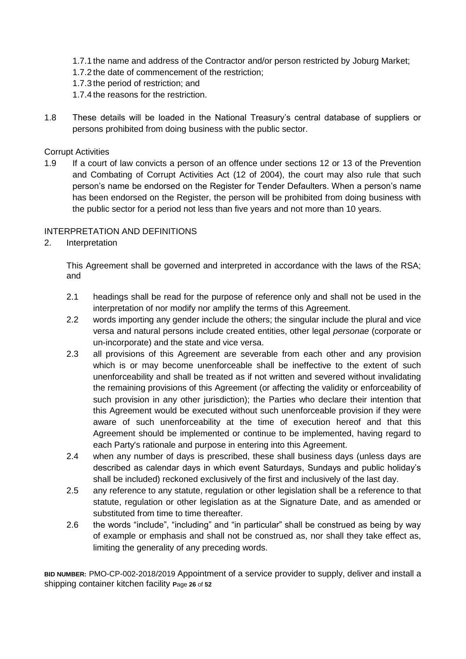- 1.7.1 the name and address of the Contractor and/or person restricted by Joburg Market;
- 1.7.2 the date of commencement of the restriction;
- 1.7.3 the period of restriction; and
- 1.7.4 the reasons for the restriction.
- 1.8 These details will be loaded in the National Treasury's central database of suppliers or persons prohibited from doing business with the public sector.

#### Corrupt Activities

1.9 If a court of law convicts a person of an offence under sections 12 or 13 of the Prevention and Combating of Corrupt Activities Act (12 of 2004), the court may also rule that such person's name be endorsed on the Register for Tender Defaulters. When a person's name has been endorsed on the Register, the person will be prohibited from doing business with the public sector for a period not less than five years and not more than 10 years.

#### INTERPRETATION AND DEFINITIONS

2. Interpretation

This Agreement shall be governed and interpreted in accordance with the laws of the RSA; and

- 2.1 headings shall be read for the purpose of reference only and shall not be used in the interpretation of nor modify nor amplify the terms of this Agreement.
- 2.2 words importing any gender include the others; the singular include the plural and vice versa and natural persons include created entities, other legal *personae* (corporate or un-incorporate) and the state and vice versa.
- 2.3 all provisions of this Agreement are severable from each other and any provision which is or may become unenforceable shall be ineffective to the extent of such unenforceability and shall be treated as if not written and severed without invalidating the remaining provisions of this Agreement (or affecting the validity or enforceability of such provision in any other jurisdiction); the Parties who declare their intention that this Agreement would be executed without such unenforceable provision if they were aware of such unenforceability at the time of execution hereof and that this Agreement should be implemented or continue to be implemented, having regard to each Party's rationale and purpose in entering into this Agreement.
- 2.4 when any number of days is prescribed, these shall business days (unless days are described as calendar days in which event Saturdays, Sundays and public holiday's shall be included) reckoned exclusively of the first and inclusively of the last day.
- 2.5 any reference to any statute, regulation or other legislation shall be a reference to that statute, regulation or other legislation as at the Signature Date, and as amended or substituted from time to time thereafter.
- 2.6 the words "include", "including" and "in particular" shall be construed as being by way of example or emphasis and shall not be construed as, nor shall they take effect as, limiting the generality of any preceding words.

**BID NUMBER:** PMO-CP-002-2018/2019 Appointment of a service provider to supply, deliver and install a shipping container kitchen facility **P**age **26** of **52**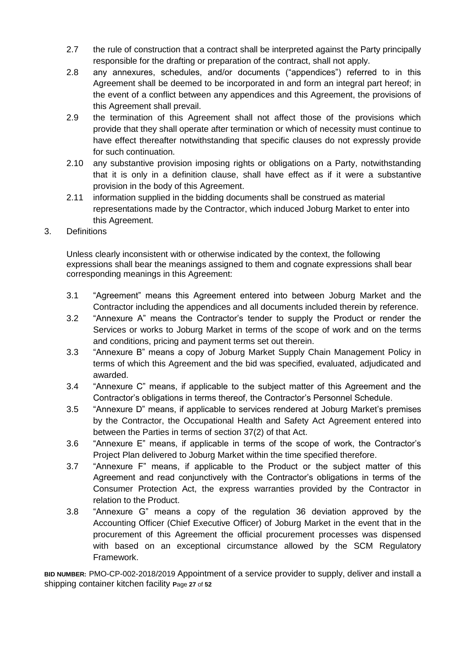- 2.7 the rule of construction that a contract shall be interpreted against the Party principally responsible for the drafting or preparation of the contract, shall not apply.
- 2.8 any annexures, schedules, and/or documents ("appendices") referred to in this Agreement shall be deemed to be incorporated in and form an integral part hereof; in the event of a conflict between any appendices and this Agreement, the provisions of this Agreement shall prevail.
- 2.9 the termination of this Agreement shall not affect those of the provisions which provide that they shall operate after termination or which of necessity must continue to have effect thereafter notwithstanding that specific clauses do not expressly provide for such continuation.
- 2.10 any substantive provision imposing rights or obligations on a Party, notwithstanding that it is only in a definition clause, shall have effect as if it were a substantive provision in the body of this Agreement.
- 2.11 information supplied in the bidding documents shall be construed as material representations made by the Contractor, which induced Joburg Market to enter into this Agreement.
- 3. Definitions

Unless clearly inconsistent with or otherwise indicated by the context, the following expressions shall bear the meanings assigned to them and cognate expressions shall bear corresponding meanings in this Agreement:

- 3.1 "Agreement" means this Agreement entered into between Joburg Market and the Contractor including the appendices and all documents included therein by reference.
- 3.2 "Annexure A" means the Contractor's tender to supply the Product or render the Services or works to Joburg Market in terms of the scope of work and on the terms and conditions, pricing and payment terms set out therein.
- 3.3 "Annexure B" means a copy of Joburg Market Supply Chain Management Policy in terms of which this Agreement and the bid was specified, evaluated, adjudicated and awarded.
- 3.4 "Annexure C" means, if applicable to the subject matter of this Agreement and the Contractor's obligations in terms thereof, the Contractor's Personnel Schedule.
- 3.5 "Annexure D" means, if applicable to services rendered at Joburg Market's premises by the Contractor, the Occupational Health and Safety Act Agreement entered into between the Parties in terms of section 37(2) of that Act.
- 3.6 "Annexure E" means, if applicable in terms of the scope of work, the Contractor's Project Plan delivered to Joburg Market within the time specified therefore.
- 3.7 "Annexure F" means, if applicable to the Product or the subject matter of this Agreement and read conjunctively with the Contractor's obligations in terms of the Consumer Protection Act, the express warranties provided by the Contractor in relation to the Product.
- 3.8 "Annexure G" means a copy of the regulation 36 deviation approved by the Accounting Officer (Chief Executive Officer) of Joburg Market in the event that in the procurement of this Agreement the official procurement processes was dispensed with based on an exceptional circumstance allowed by the SCM Regulatory Framework.

**BID NUMBER:** PMO-CP-002-2018/2019 Appointment of a service provider to supply, deliver and install a shipping container kitchen facility **P**age **27** of **52**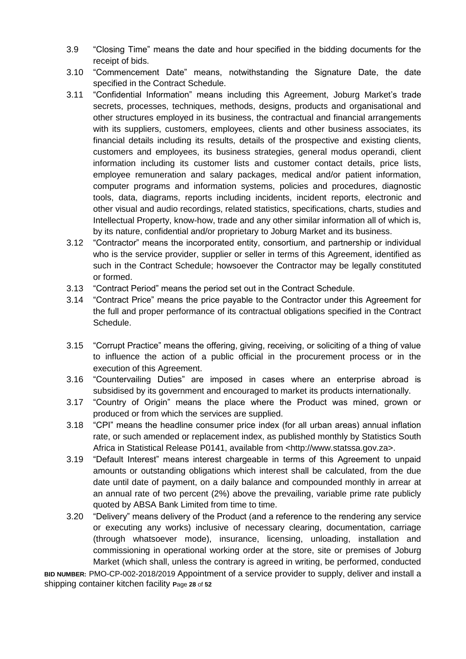- 3.9 "Closing Time" means the date and hour specified in the bidding documents for the receipt of bids.
- 3.10 "Commencement Date" means, notwithstanding the Signature Date, the date specified in the Contract Schedule.
- 3.11 "Confidential Information" means including this Agreement, Joburg Market's trade secrets, processes, techniques, methods, designs, products and organisational and other structures employed in its business, the contractual and financial arrangements with its suppliers, customers, employees, clients and other business associates, its financial details including its results, details of the prospective and existing clients, customers and employees, its business strategies, general modus operandi, client information including its customer lists and customer contact details, price lists, employee remuneration and salary packages, medical and/or patient information, computer programs and information systems, policies and procedures, diagnostic tools, data, diagrams, reports including incidents, incident reports, electronic and other visual and audio recordings, related statistics, specifications, charts, studies and Intellectual Property, know-how, trade and any other similar information all of which is, by its nature, confidential and/or proprietary to Joburg Market and its business.
- 3.12 "Contractor" means the incorporated entity, consortium, and partnership or individual who is the service provider, supplier or seller in terms of this Agreement, identified as such in the Contract Schedule; howsoever the Contractor may be legally constituted or formed.
- 3.13 "Contract Period" means the period set out in the Contract Schedule.
- 3.14 "Contract Price" means the price payable to the Contractor under this Agreement for the full and proper performance of its contractual obligations specified in the Contract Schedule.
- 3.15 "Corrupt Practice" means the offering, giving, receiving, or soliciting of a thing of value to influence the action of a public official in the procurement process or in the execution of this Agreement.
- 3.16 "Countervailing Duties" are imposed in cases where an enterprise abroad is subsidised by its government and encouraged to market its products internationally.
- 3.17 "Country of Origin" means the place where the Product was mined, grown or produced or from which the services are supplied.
- 3.18 "CPI" means the headline consumer price index (for all urban areas) annual inflation rate, or such amended or replacement index, as published monthly by Statistics South Africa in Statistical Release P0141, available from <http://www.statssa.gov.za>.
- 3.19 "Default Interest" means interest chargeable in terms of this Agreement to unpaid amounts or outstanding obligations which interest shall be calculated, from the due date until date of payment, on a daily balance and compounded monthly in arrear at an annual rate of two percent (2%) above the prevailing, variable prime rate publicly quoted by ABSA Bank Limited from time to time.
- 3.20 "Delivery" means delivery of the Product (and a reference to the rendering any service or executing any works) inclusive of necessary clearing, documentation, carriage (through whatsoever mode), insurance, licensing, unloading, installation and commissioning in operational working order at the store, site or premises of Joburg Market (which shall, unless the contrary is agreed in writing, be performed, conducted

**BID NUMBER:** PMO-CP-002-2018/2019 Appointment of a service provider to supply, deliver and install a shipping container kitchen facility **P**age **28** of **52**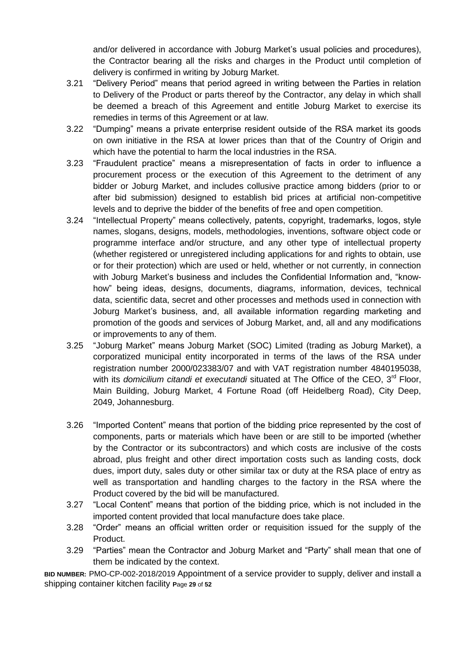and/or delivered in accordance with Joburg Market's usual policies and procedures), the Contractor bearing all the risks and charges in the Product until completion of delivery is confirmed in writing by Joburg Market.

- 3.21 "Delivery Period" means that period agreed in writing between the Parties in relation to Delivery of the Product or parts thereof by the Contractor, any delay in which shall be deemed a breach of this Agreement and entitle Joburg Market to exercise its remedies in terms of this Agreement or at law.
- 3.22 "Dumping" means a private enterprise resident outside of the RSA market its goods on own initiative in the RSA at lower prices than that of the Country of Origin and which have the potential to harm the local industries in the RSA.
- 3.23 "Fraudulent practice" means a misrepresentation of facts in order to influence a procurement process or the execution of this Agreement to the detriment of any bidder or Joburg Market, and includes collusive practice among bidders (prior to or after bid submission) designed to establish bid prices at artificial non-competitive levels and to deprive the bidder of the benefits of free and open competition.
- 3.24 "Intellectual Property" means collectively, patents, copyright, trademarks, logos, style names, slogans, designs, models, methodologies, inventions, software object code or programme interface and/or structure, and any other type of intellectual property (whether registered or unregistered including applications for and rights to obtain, use or for their protection) which are used or held, whether or not currently, in connection with Joburg Market's business and includes the Confidential Information and, "knowhow" being ideas, designs, documents, diagrams, information, devices, technical data, scientific data, secret and other processes and methods used in connection with Joburg Market's business, and, all available information regarding marketing and promotion of the goods and services of Joburg Market, and, all and any modifications or improvements to any of them.
- 3.25 "Joburg Market" means Joburg Market (SOC) Limited (trading as Joburg Market), a corporatized municipal entity incorporated in terms of the laws of the RSA under registration number 2000/023383/07 and with VAT registration number 4840195038, with its *domicilium citandi et executandi* situated at The Office of the CEO, 3rd Floor, Main Building, Joburg Market, 4 Fortune Road (off Heidelberg Road), City Deep, 2049, Johannesburg.
- 3.26 "Imported Content" means that portion of the bidding price represented by the cost of components, parts or materials which have been or are still to be imported (whether by the Contractor or its subcontractors) and which costs are inclusive of the costs abroad, plus freight and other direct importation costs such as landing costs, dock dues, import duty, sales duty or other similar tax or duty at the RSA place of entry as well as transportation and handling charges to the factory in the RSA where the Product covered by the bid will be manufactured.
- 3.27 "Local Content" means that portion of the bidding price, which is not included in the imported content provided that local manufacture does take place.
- 3.28 "Order" means an official written order or requisition issued for the supply of the Product.
- 3.29 "Parties" mean the Contractor and Joburg Market and "Party" shall mean that one of them be indicated by the context.

**BID NUMBER:** PMO-CP-002-2018/2019 Appointment of a service provider to supply, deliver and install a shipping container kitchen facility **P**age **29** of **52**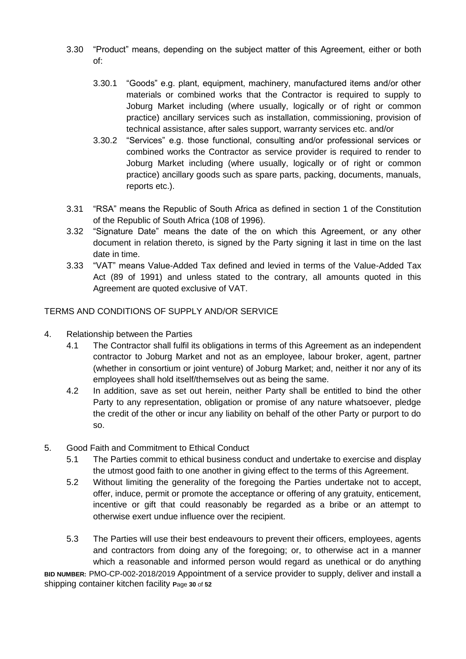- 3.30 "Product" means, depending on the subject matter of this Agreement, either or both of:
	- 3.30.1 "Goods" e.g. plant, equipment, machinery, manufactured items and/or other materials or combined works that the Contractor is required to supply to Joburg Market including (where usually, logically or of right or common practice) ancillary services such as installation, commissioning, provision of technical assistance, after sales support, warranty services etc. and/or
	- 3.30.2 "Services" e.g. those functional, consulting and/or professional services or combined works the Contractor as service provider is required to render to Joburg Market including (where usually, logically or of right or common practice) ancillary goods such as spare parts, packing, documents, manuals, reports etc.).
- 3.31 "RSA" means the Republic of South Africa as defined in section 1 of the Constitution of the Republic of South Africa (108 of 1996).
- 3.32 "Signature Date" means the date of the on which this Agreement, or any other document in relation thereto, is signed by the Party signing it last in time on the last date in time.
- 3.33 "VAT" means Value-Added Tax defined and levied in terms of the Value-Added Tax Act (89 of 1991) and unless stated to the contrary, all amounts quoted in this Agreement are quoted exclusive of VAT.

TERMS AND CONDITIONS OF SUPPLY AND/OR SERVICE

- 4. Relationship between the Parties
	- 4.1 The Contractor shall fulfil its obligations in terms of this Agreement as an independent contractor to Joburg Market and not as an employee, labour broker, agent, partner (whether in consortium or joint venture) of Joburg Market; and, neither it nor any of its employees shall hold itself/themselves out as being the same.
	- 4.2 In addition, save as set out herein, neither Party shall be entitled to bind the other Party to any representation, obligation or promise of any nature whatsoever, pledge the credit of the other or incur any liability on behalf of the other Party or purport to do so.
- 5. Good Faith and Commitment to Ethical Conduct
	- 5.1 The Parties commit to ethical business conduct and undertake to exercise and display the utmost good faith to one another in giving effect to the terms of this Agreement.
	- 5.2 Without limiting the generality of the foregoing the Parties undertake not to accept, offer, induce, permit or promote the acceptance or offering of any gratuity, enticement, incentive or gift that could reasonably be regarded as a bribe or an attempt to otherwise exert undue influence over the recipient.
	- 5.3 The Parties will use their best endeavours to prevent their officers, employees, agents and contractors from doing any of the foregoing; or, to otherwise act in a manner which a reasonable and informed person would regard as unethical or do anything

**BID NUMBER:** PMO-CP-002-2018/2019 Appointment of a service provider to supply, deliver and install a shipping container kitchen facility **P**age **30** of **52**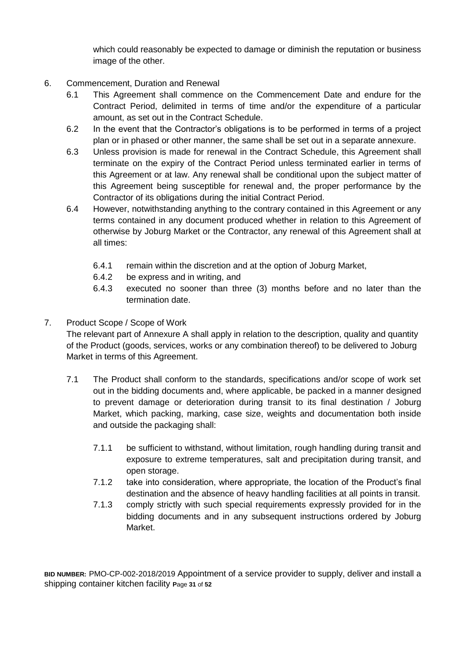which could reasonably be expected to damage or diminish the reputation or business image of the other.

- 6. Commencement, Duration and Renewal
	- 6.1 This Agreement shall commence on the Commencement Date and endure for the Contract Period, delimited in terms of time and/or the expenditure of a particular amount, as set out in the Contract Schedule.
	- 6.2 In the event that the Contractor's obligations is to be performed in terms of a project plan or in phased or other manner, the same shall be set out in a separate annexure.
	- 6.3 Unless provision is made for renewal in the Contract Schedule, this Agreement shall terminate on the expiry of the Contract Period unless terminated earlier in terms of this Agreement or at law. Any renewal shall be conditional upon the subject matter of this Agreement being susceptible for renewal and, the proper performance by the Contractor of its obligations during the initial Contract Period.
	- 6.4 However, notwithstanding anything to the contrary contained in this Agreement or any terms contained in any document produced whether in relation to this Agreement of otherwise by Joburg Market or the Contractor, any renewal of this Agreement shall at all times:
		- 6.4.1 remain within the discretion and at the option of Joburg Market,
		- 6.4.2 be express and in writing, and
		- 6.4.3 executed no sooner than three (3) months before and no later than the termination date.
- 7. Product Scope / Scope of Work

The relevant part of Annexure A shall apply in relation to the description, quality and quantity of the Product (goods, services, works or any combination thereof) to be delivered to Joburg Market in terms of this Agreement.

- 7.1 The Product shall conform to the standards, specifications and/or scope of work set out in the bidding documents and, where applicable, be packed in a manner designed to prevent damage or deterioration during transit to its final destination / Joburg Market, which packing, marking, case size, weights and documentation both inside and outside the packaging shall:
	- 7.1.1 be sufficient to withstand, without limitation, rough handling during transit and exposure to extreme temperatures, salt and precipitation during transit, and open storage.
	- 7.1.2 take into consideration, where appropriate, the location of the Product's final destination and the absence of heavy handling facilities at all points in transit.
	- 7.1.3 comply strictly with such special requirements expressly provided for in the bidding documents and in any subsequent instructions ordered by Joburg Market.

**BID NUMBER:** PMO-CP-002-2018/2019 Appointment of a service provider to supply, deliver and install a shipping container kitchen facility **P**age **31** of **52**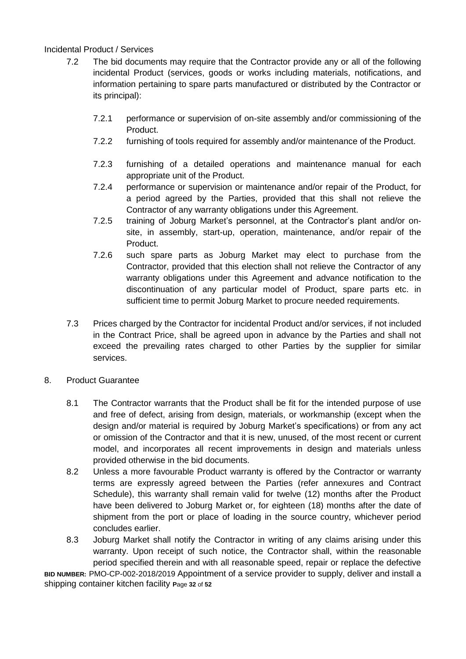#### Incidental Product / Services

- 7.2 The bid documents may require that the Contractor provide any or all of the following incidental Product (services, goods or works including materials, notifications, and information pertaining to spare parts manufactured or distributed by the Contractor or its principal):
	- 7.2.1 performance or supervision of on-site assembly and/or commissioning of the Product.
	- 7.2.2 furnishing of tools required for assembly and/or maintenance of the Product.
	- 7.2.3 furnishing of a detailed operations and maintenance manual for each appropriate unit of the Product.
	- 7.2.4 performance or supervision or maintenance and/or repair of the Product, for a period agreed by the Parties, provided that this shall not relieve the Contractor of any warranty obligations under this Agreement.
	- 7.2.5 training of Joburg Market's personnel, at the Contractor's plant and/or onsite, in assembly, start-up, operation, maintenance, and/or repair of the Product.
	- 7.2.6 such spare parts as Joburg Market may elect to purchase from the Contractor, provided that this election shall not relieve the Contractor of any warranty obligations under this Agreement and advance notification to the discontinuation of any particular model of Product, spare parts etc. in sufficient time to permit Joburg Market to procure needed requirements.
- 7.3 Prices charged by the Contractor for incidental Product and/or services, if not included in the Contract Price, shall be agreed upon in advance by the Parties and shall not exceed the prevailing rates charged to other Parties by the supplier for similar services.
- 8. Product Guarantee
	- 8.1 The Contractor warrants that the Product shall be fit for the intended purpose of use and free of defect, arising from design, materials, or workmanship (except when the design and/or material is required by Joburg Market's specifications) or from any act or omission of the Contractor and that it is new, unused, of the most recent or current model, and incorporates all recent improvements in design and materials unless provided otherwise in the bid documents.
	- 8.2 Unless a more favourable Product warranty is offered by the Contractor or warranty terms are expressly agreed between the Parties (refer annexures and Contract Schedule), this warranty shall remain valid for twelve (12) months after the Product have been delivered to Joburg Market or, for eighteen (18) months after the date of shipment from the port or place of loading in the source country, whichever period concludes earlier.
	- 8.3 Joburg Market shall notify the Contractor in writing of any claims arising under this warranty. Upon receipt of such notice, the Contractor shall, within the reasonable period specified therein and with all reasonable speed, repair or replace the defective

**BID NUMBER:** PMO-CP-002-2018/2019 Appointment of a service provider to supply, deliver and install a shipping container kitchen facility **P**age **32** of **52**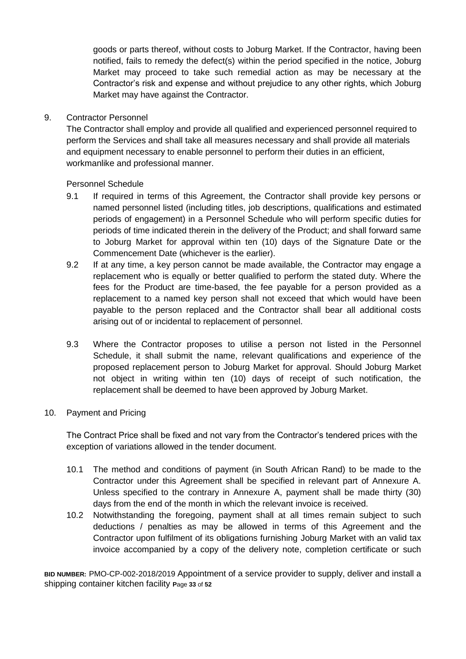goods or parts thereof, without costs to Joburg Market. If the Contractor, having been notified, fails to remedy the defect(s) within the period specified in the notice, Joburg Market may proceed to take such remedial action as may be necessary at the Contractor's risk and expense and without prejudice to any other rights, which Joburg Market may have against the Contractor.

#### 9. Contractor Personnel

The Contractor shall employ and provide all qualified and experienced personnel required to perform the Services and shall take all measures necessary and shall provide all materials and equipment necessary to enable personnel to perform their duties in an efficient, workmanlike and professional manner.

#### Personnel Schedule

- 9.1 If required in terms of this Agreement, the Contractor shall provide key persons or named personnel listed (including titles, job descriptions, qualifications and estimated periods of engagement) in a Personnel Schedule who will perform specific duties for periods of time indicated therein in the delivery of the Product; and shall forward same to Joburg Market for approval within ten (10) days of the Signature Date or the Commencement Date (whichever is the earlier).
- 9.2 If at any time, a key person cannot be made available, the Contractor may engage a replacement who is equally or better qualified to perform the stated duty. Where the fees for the Product are time-based, the fee payable for a person provided as a replacement to a named key person shall not exceed that which would have been payable to the person replaced and the Contractor shall bear all additional costs arising out of or incidental to replacement of personnel.
- 9.3 Where the Contractor proposes to utilise a person not listed in the Personnel Schedule, it shall submit the name, relevant qualifications and experience of the proposed replacement person to Joburg Market for approval. Should Joburg Market not object in writing within ten (10) days of receipt of such notification, the replacement shall be deemed to have been approved by Joburg Market.

#### 10. Payment and Pricing

The Contract Price shall be fixed and not vary from the Contractor's tendered prices with the exception of variations allowed in the tender document.

- 10.1 The method and conditions of payment (in South African Rand) to be made to the Contractor under this Agreement shall be specified in relevant part of Annexure A. Unless specified to the contrary in Annexure A, payment shall be made thirty (30) days from the end of the month in which the relevant invoice is received.
- 10.2 Notwithstanding the foregoing, payment shall at all times remain subject to such deductions / penalties as may be allowed in terms of this Agreement and the Contractor upon fulfilment of its obligations furnishing Joburg Market with an valid tax invoice accompanied by a copy of the delivery note, completion certificate or such

**BID NUMBER:** PMO-CP-002-2018/2019 Appointment of a service provider to supply, deliver and install a shipping container kitchen facility **P**age **33** of **52**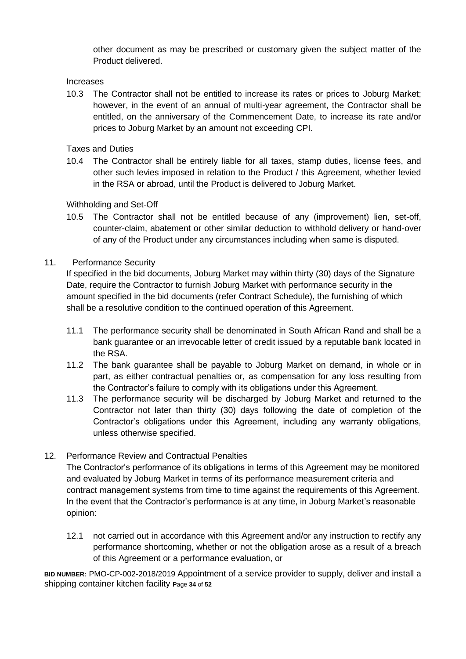other document as may be prescribed or customary given the subject matter of the Product delivered.

#### Increases

10.3 The Contractor shall not be entitled to increase its rates or prices to Joburg Market; however, in the event of an annual of multi-year agreement, the Contractor shall be entitled, on the anniversary of the Commencement Date, to increase its rate and/or prices to Joburg Market by an amount not exceeding CPI.

Taxes and Duties

10.4 The Contractor shall be entirely liable for all taxes, stamp duties, license fees, and other such levies imposed in relation to the Product / this Agreement, whether levied in the RSA or abroad, until the Product is delivered to Joburg Market.

Withholding and Set-Off

10.5 The Contractor shall not be entitled because of any (improvement) lien, set-off, counter-claim, abatement or other similar deduction to withhold delivery or hand-over of any of the Product under any circumstances including when same is disputed.

#### 11. Performance Security

If specified in the bid documents, Joburg Market may within thirty (30) days of the Signature Date, require the Contractor to furnish Joburg Market with performance security in the amount specified in the bid documents (refer Contract Schedule), the furnishing of which shall be a resolutive condition to the continued operation of this Agreement.

- 11.1 The performance security shall be denominated in South African Rand and shall be a bank guarantee or an irrevocable letter of credit issued by a reputable bank located in the RSA.
- 11.2 The bank guarantee shall be payable to Joburg Market on demand, in whole or in part, as either contractual penalties or, as compensation for any loss resulting from the Contractor's failure to comply with its obligations under this Agreement.
- 11.3 The performance security will be discharged by Joburg Market and returned to the Contractor not later than thirty (30) days following the date of completion of the Contractor's obligations under this Agreement, including any warranty obligations, unless otherwise specified.

## 12. Performance Review and Contractual Penalties

The Contractor's performance of its obligations in terms of this Agreement may be monitored and evaluated by Joburg Market in terms of its performance measurement criteria and contract management systems from time to time against the requirements of this Agreement. In the event that the Contractor's performance is at any time, in Joburg Market's reasonable opinion:

12.1 not carried out in accordance with this Agreement and/or any instruction to rectify any performance shortcoming, whether or not the obligation arose as a result of a breach of this Agreement or a performance evaluation, or

**BID NUMBER:** PMO-CP-002-2018/2019 Appointment of a service provider to supply, deliver and install a shipping container kitchen facility **P**age **34** of **52**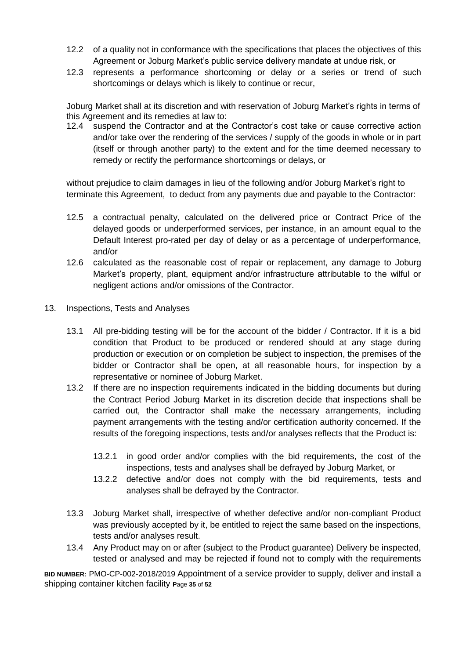- 12.2 of a quality not in conformance with the specifications that places the objectives of this Agreement or Joburg Market's public service delivery mandate at undue risk, or
- 12.3 represents a performance shortcoming or delay or a series or trend of such shortcomings or delays which is likely to continue or recur,

Joburg Market shall at its discretion and with reservation of Joburg Market's rights in terms of this Agreement and its remedies at law to:

12.4 suspend the Contractor and at the Contractor's cost take or cause corrective action and/or take over the rendering of the services / supply of the goods in whole or in part (itself or through another party) to the extent and for the time deemed necessary to remedy or rectify the performance shortcomings or delays, or

without prejudice to claim damages in lieu of the following and/or Joburg Market's right to terminate this Agreement, to deduct from any payments due and payable to the Contractor:

- 12.5 a contractual penalty, calculated on the delivered price or Contract Price of the delayed goods or underperformed services, per instance, in an amount equal to the Default Interest pro-rated per day of delay or as a percentage of underperformance, and/or
- 12.6 calculated as the reasonable cost of repair or replacement, any damage to Joburg Market's property, plant, equipment and/or infrastructure attributable to the wilful or negligent actions and/or omissions of the Contractor.
- 13. Inspections, Tests and Analyses
	- 13.1 All pre-bidding testing will be for the account of the bidder / Contractor. If it is a bid condition that Product to be produced or rendered should at any stage during production or execution or on completion be subject to inspection, the premises of the bidder or Contractor shall be open, at all reasonable hours, for inspection by a representative or nominee of Joburg Market.
	- 13.2 If there are no inspection requirements indicated in the bidding documents but during the Contract Period Joburg Market in its discretion decide that inspections shall be carried out, the Contractor shall make the necessary arrangements, including payment arrangements with the testing and/or certification authority concerned. If the results of the foregoing inspections, tests and/or analyses reflects that the Product is:
		- 13.2.1 in good order and/or complies with the bid requirements, the cost of the inspections, tests and analyses shall be defrayed by Joburg Market, or
		- 13.2.2 defective and/or does not comply with the bid requirements, tests and analyses shall be defrayed by the Contractor.
	- 13.3 Joburg Market shall, irrespective of whether defective and/or non-compliant Product was previously accepted by it, be entitled to reject the same based on the inspections, tests and/or analyses result.
	- 13.4 Any Product may on or after (subject to the Product guarantee) Delivery be inspected, tested or analysed and may be rejected if found not to comply with the requirements

**BID NUMBER:** PMO-CP-002-2018/2019 Appointment of a service provider to supply, deliver and install a shipping container kitchen facility **P**age **35** of **52**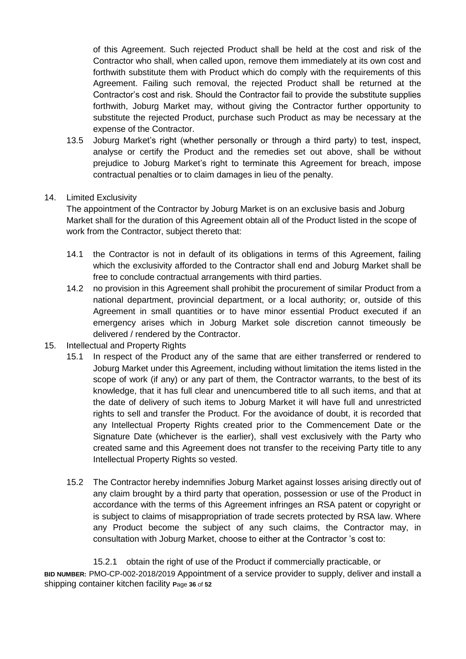of this Agreement. Such rejected Product shall be held at the cost and risk of the Contractor who shall, when called upon, remove them immediately at its own cost and forthwith substitute them with Product which do comply with the requirements of this Agreement. Failing such removal, the rejected Product shall be returned at the Contractor's cost and risk. Should the Contractor fail to provide the substitute supplies forthwith, Joburg Market may, without giving the Contractor further opportunity to substitute the rejected Product, purchase such Product as may be necessary at the expense of the Contractor.

- 13.5 Joburg Market's right (whether personally or through a third party) to test, inspect, analyse or certify the Product and the remedies set out above, shall be without prejudice to Joburg Market's right to terminate this Agreement for breach, impose contractual penalties or to claim damages in lieu of the penalty.
- 14. Limited Exclusivity

The appointment of the Contractor by Joburg Market is on an exclusive basis and Joburg Market shall for the duration of this Agreement obtain all of the Product listed in the scope of work from the Contractor, subject thereto that:

- 14.1 the Contractor is not in default of its obligations in terms of this Agreement, failing which the exclusivity afforded to the Contractor shall end and Joburg Market shall be free to conclude contractual arrangements with third parties.
- 14.2 no provision in this Agreement shall prohibit the procurement of similar Product from a national department, provincial department, or a local authority; or, outside of this Agreement in small quantities or to have minor essential Product executed if an emergency arises which in Joburg Market sole discretion cannot timeously be delivered / rendered by the Contractor.
- 15. Intellectual and Property Rights
	- 15.1 In respect of the Product any of the same that are either transferred or rendered to Joburg Market under this Agreement, including without limitation the items listed in the scope of work (if any) or any part of them, the Contractor warrants, to the best of its knowledge, that it has full clear and unencumbered title to all such items, and that at the date of delivery of such items to Joburg Market it will have full and unrestricted rights to sell and transfer the Product. For the avoidance of doubt, it is recorded that any Intellectual Property Rights created prior to the Commencement Date or the Signature Date (whichever is the earlier), shall vest exclusively with the Party who created same and this Agreement does not transfer to the receiving Party title to any Intellectual Property Rights so vested.
	- 15.2 The Contractor hereby indemnifies Joburg Market against losses arising directly out of any claim brought by a third party that operation, possession or use of the Product in accordance with the terms of this Agreement infringes an RSA patent or copyright or is subject to claims of misappropriation of trade secrets protected by RSA law. Where any Product become the subject of any such claims, the Contractor may, in consultation with Joburg Market, choose to either at the Contractor 's cost to:

**BID NUMBER:** PMO-CP-002-2018/2019 Appointment of a service provider to supply, deliver and install a shipping container kitchen facility **P**age **36** of **52** 15.2.1 obtain the right of use of the Product if commercially practicable, or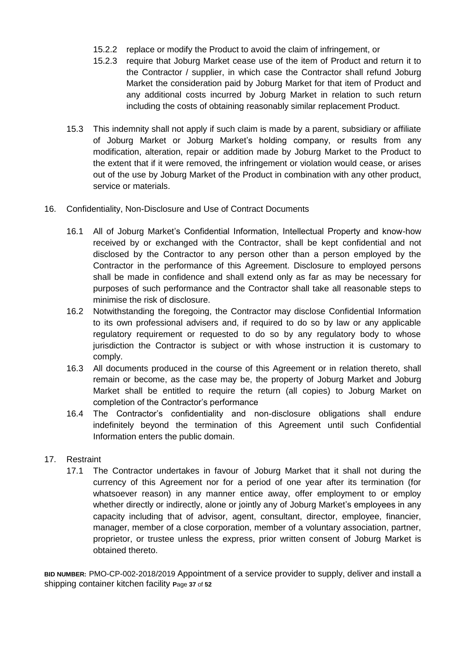- 15.2.2 replace or modify the Product to avoid the claim of infringement, or
- 15.2.3 require that Joburg Market cease use of the item of Product and return it to the Contractor / supplier, in which case the Contractor shall refund Joburg Market the consideration paid by Joburg Market for that item of Product and any additional costs incurred by Joburg Market in relation to such return including the costs of obtaining reasonably similar replacement Product.
- 15.3 This indemnity shall not apply if such claim is made by a parent, subsidiary or affiliate of Joburg Market or Joburg Market's holding company, or results from any modification, alteration, repair or addition made by Joburg Market to the Product to the extent that if it were removed, the infringement or violation would cease, or arises out of the use by Joburg Market of the Product in combination with any other product, service or materials.
- 16. Confidentiality, Non-Disclosure and Use of Contract Documents
	- 16.1 All of Joburg Market's Confidential Information, Intellectual Property and know-how received by or exchanged with the Contractor, shall be kept confidential and not disclosed by the Contractor to any person other than a person employed by the Contractor in the performance of this Agreement. Disclosure to employed persons shall be made in confidence and shall extend only as far as may be necessary for purposes of such performance and the Contractor shall take all reasonable steps to minimise the risk of disclosure.
	- 16.2 Notwithstanding the foregoing, the Contractor may disclose Confidential Information to its own professional advisers and, if required to do so by law or any applicable regulatory requirement or requested to do so by any regulatory body to whose jurisdiction the Contractor is subject or with whose instruction it is customary to comply.
	- 16.3 All documents produced in the course of this Agreement or in relation thereto, shall remain or become, as the case may be, the property of Joburg Market and Joburg Market shall be entitled to require the return (all copies) to Joburg Market on completion of the Contractor's performance
	- 16.4 The Contractor's confidentiality and non-disclosure obligations shall endure indefinitely beyond the termination of this Agreement until such Confidential Information enters the public domain.

## 17. Restraint

17.1 The Contractor undertakes in favour of Joburg Market that it shall not during the currency of this Agreement nor for a period of one year after its termination (for whatsoever reason) in any manner entice away, offer employment to or employ whether directly or indirectly, alone or jointly any of Joburg Market's employees in any capacity including that of advisor, agent, consultant, director, employee, financier, manager, member of a close corporation, member of a voluntary association, partner, proprietor, or trustee unless the express, prior written consent of Joburg Market is obtained thereto.

**BID NUMBER:** PMO-CP-002-2018/2019 Appointment of a service provider to supply, deliver and install a shipping container kitchen facility **P**age **37** of **52**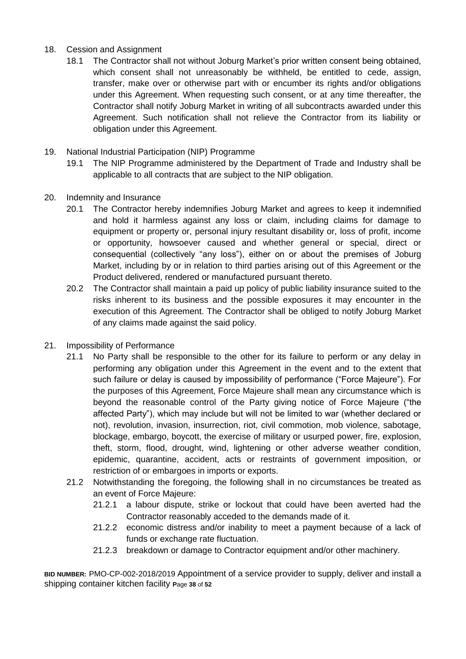## 18. Cession and Assignment

- 18.1 The Contractor shall not without Joburg Market's prior written consent being obtained, which consent shall not unreasonably be withheld, be entitled to cede, assign, transfer, make over or otherwise part with or encumber its rights and/or obligations under this Agreement. When requesting such consent, or at any time thereafter, the Contractor shall notify Joburg Market in writing of all subcontracts awarded under this Agreement. Such notification shall not relieve the Contractor from its liability or obligation under this Agreement.
- 19. National Industrial Participation (NIP) Programme
	- 19.1 The NIP Programme administered by the Department of Trade and Industry shall be applicable to all contracts that are subject to the NIP obligation.
- 20. Indemnity and Insurance
	- 20.1 The Contractor hereby indemnifies Joburg Market and agrees to keep it indemnified and hold it harmless against any loss or claim, including claims for damage to equipment or property or, personal injury resultant disability or, loss of profit, income or opportunity, howsoever caused and whether general or special, direct or consequential (collectively "any loss"), either on or about the premises of Joburg Market, including by or in relation to third parties arising out of this Agreement or the Product delivered, rendered or manufactured pursuant thereto.
	- 20.2 The Contractor shall maintain a paid up policy of public liability insurance suited to the risks inherent to its business and the possible exposures it may encounter in the execution of this Agreement. The Contractor shall be obliged to notify Joburg Market of any claims made against the said policy.
- 21. Impossibility of Performance
	- 21.1 No Party shall be responsible to the other for its failure to perform or any delay in performing any obligation under this Agreement in the event and to the extent that such failure or delay is caused by impossibility of performance ("Force Majeure"). For the purposes of this Agreement, Force Majeure shall mean any circumstance which is beyond the reasonable control of the Party giving notice of Force Majeure ("the affected Party"), which may include but will not be limited to war (whether declared or not), revolution, invasion, insurrection, riot, civil commotion, mob violence, sabotage, blockage, embargo, boycott, the exercise of military or usurped power, fire, explosion, theft, storm, flood, drought, wind, lightening or other adverse weather condition, epidemic, quarantine, accident, acts or restraints of government imposition, or restriction of or embargoes in imports or exports.
	- 21.2 Notwithstanding the foregoing, the following shall in no circumstances be treated as an event of Force Majeure:
		- 21.2.1 a labour dispute, strike or lockout that could have been averted had the Contractor reasonably acceded to the demands made of it.
		- 21.2.2 economic distress and/or inability to meet a payment because of a lack of funds or exchange rate fluctuation.
		- 21.2.3 breakdown or damage to Contractor equipment and/or other machinery.

**BID NUMBER:** PMO-CP-002-2018/2019 Appointment of a service provider to supply, deliver and install a shipping container kitchen facility **P**age **38** of **52**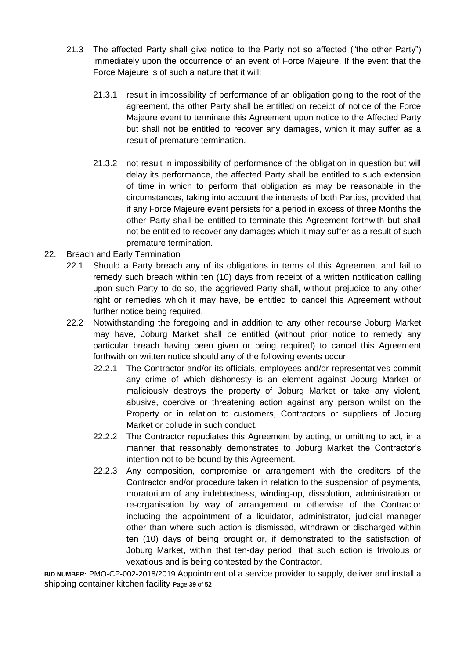- 21.3 The affected Party shall give notice to the Party not so affected ("the other Party") immediately upon the occurrence of an event of Force Majeure. If the event that the Force Majeure is of such a nature that it will:
	- 21.3.1 result in impossibility of performance of an obligation going to the root of the agreement, the other Party shall be entitled on receipt of notice of the Force Majeure event to terminate this Agreement upon notice to the Affected Party but shall not be entitled to recover any damages, which it may suffer as a result of premature termination.
	- 21.3.2 not result in impossibility of performance of the obligation in question but will delay its performance, the affected Party shall be entitled to such extension of time in which to perform that obligation as may be reasonable in the circumstances, taking into account the interests of both Parties, provided that if any Force Majeure event persists for a period in excess of three Months the other Party shall be entitled to terminate this Agreement forthwith but shall not be entitled to recover any damages which it may suffer as a result of such premature termination.
- 22. Breach and Early Termination
	- 22.1 Should a Party breach any of its obligations in terms of this Agreement and fail to remedy such breach within ten (10) days from receipt of a written notification calling upon such Party to do so, the aggrieved Party shall, without prejudice to any other right or remedies which it may have, be entitled to cancel this Agreement without further notice being required.
	- 22.2 Notwithstanding the foregoing and in addition to any other recourse Joburg Market may have, Joburg Market shall be entitled (without prior notice to remedy any particular breach having been given or being required) to cancel this Agreement forthwith on written notice should any of the following events occur:
		- 22.2.1 The Contractor and/or its officials, employees and/or representatives commit any crime of which dishonesty is an element against Joburg Market or maliciously destroys the property of Joburg Market or take any violent, abusive, coercive or threatening action against any person whilst on the Property or in relation to customers, Contractors or suppliers of Joburg Market or collude in such conduct.
		- 22.2.2 The Contractor repudiates this Agreement by acting, or omitting to act, in a manner that reasonably demonstrates to Joburg Market the Contractor's intention not to be bound by this Agreement.
		- 22.2.3 Any composition, compromise or arrangement with the creditors of the Contractor and/or procedure taken in relation to the suspension of payments, moratorium of any indebtedness, winding-up, dissolution, administration or re-organisation by way of arrangement or otherwise of the Contractor including the appointment of a liquidator, administrator, judicial manager other than where such action is dismissed, withdrawn or discharged within ten (10) days of being brought or, if demonstrated to the satisfaction of Joburg Market, within that ten-day period, that such action is frivolous or vexatious and is being contested by the Contractor.

**BID NUMBER:** PMO-CP-002-2018/2019 Appointment of a service provider to supply, deliver and install a shipping container kitchen facility **P**age **39** of **52**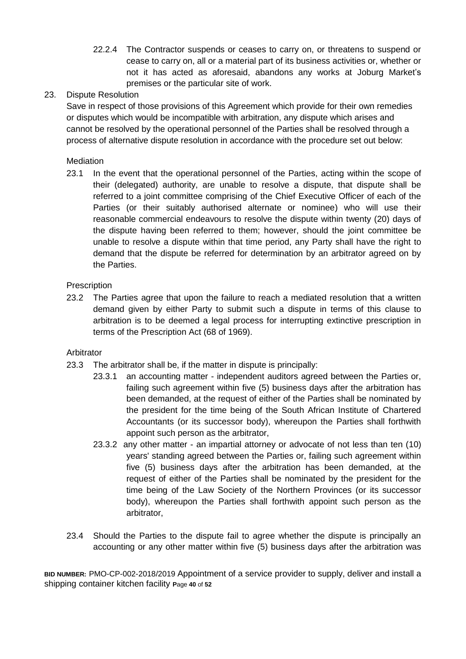22.2.4 The Contractor suspends or ceases to carry on, or threatens to suspend or cease to carry on, all or a material part of its business activities or, whether or not it has acted as aforesaid, abandons any works at Joburg Market's premises or the particular site of work.

## 23. Dispute Resolution

Save in respect of those provisions of this Agreement which provide for their own remedies or disputes which would be incompatible with arbitration, any dispute which arises and cannot be resolved by the operational personnel of the Parties shall be resolved through a process of alternative dispute resolution in accordance with the procedure set out below:

#### Mediation

23.1 In the event that the operational personnel of the Parties, acting within the scope of their (delegated) authority, are unable to resolve a dispute, that dispute shall be referred to a joint committee comprising of the Chief Executive Officer of each of the Parties (or their suitably authorised alternate or nominee) who will use their reasonable commercial endeavours to resolve the dispute within twenty (20) days of the dispute having been referred to them; however, should the joint committee be unable to resolve a dispute within that time period, any Party shall have the right to demand that the dispute be referred for determination by an arbitrator agreed on by the Parties.

## **Prescription**

23.2 The Parties agree that upon the failure to reach a mediated resolution that a written demand given by either Party to submit such a dispute in terms of this clause to arbitration is to be deemed a legal process for interrupting extinctive prescription in terms of the Prescription Act (68 of 1969).

#### Arbitrator

- 23.3 The arbitrator shall be, if the matter in dispute is principally:
	- 23.3.1 an accounting matter independent auditors agreed between the Parties or, failing such agreement within five (5) business days after the arbitration has been demanded, at the request of either of the Parties shall be nominated by the president for the time being of the South African Institute of Chartered Accountants (or its successor body), whereupon the Parties shall forthwith appoint such person as the arbitrator,
	- 23.3.2 any other matter an impartial attorney or advocate of not less than ten (10) years' standing agreed between the Parties or, failing such agreement within five (5) business days after the arbitration has been demanded, at the request of either of the Parties shall be nominated by the president for the time being of the Law Society of the Northern Provinces (or its successor body), whereupon the Parties shall forthwith appoint such person as the arbitrator,
- 23.4 Should the Parties to the dispute fail to agree whether the dispute is principally an accounting or any other matter within five (5) business days after the arbitration was

**BID NUMBER:** PMO-CP-002-2018/2019 Appointment of a service provider to supply, deliver and install a shipping container kitchen facility **P**age **40** of **52**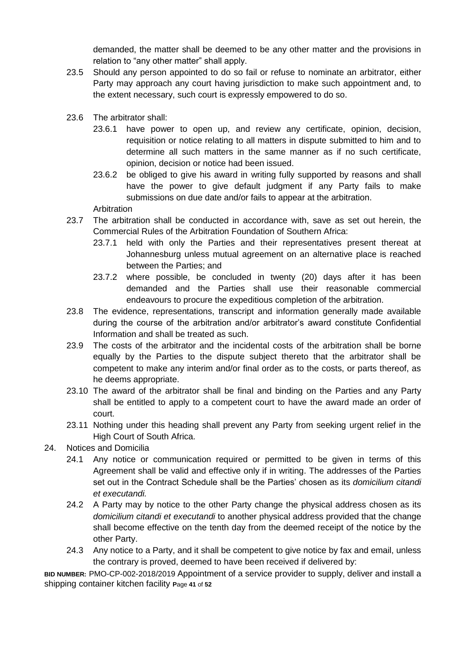demanded, the matter shall be deemed to be any other matter and the provisions in relation to "any other matter" shall apply.

- 23.5 Should any person appointed to do so fail or refuse to nominate an arbitrator, either Party may approach any court having jurisdiction to make such appointment and, to the extent necessary, such court is expressly empowered to do so.
- 23.6 The arbitrator shall:
	- 23.6.1 have power to open up, and review any certificate, opinion, decision, requisition or notice relating to all matters in dispute submitted to him and to determine all such matters in the same manner as if no such certificate, opinion, decision or notice had been issued.
	- 23.6.2 be obliged to give his award in writing fully supported by reasons and shall have the power to give default judgment if any Party fails to make submissions on due date and/or fails to appear at the arbitration.

Arbitration

- 23.7 The arbitration shall be conducted in accordance with, save as set out herein, the Commercial Rules of the Arbitration Foundation of Southern Africa:
	- 23.7.1 held with only the Parties and their representatives present thereat at Johannesburg unless mutual agreement on an alternative place is reached between the Parties; and
	- 23.7.2 where possible, be concluded in twenty (20) days after it has been demanded and the Parties shall use their reasonable commercial endeavours to procure the expeditious completion of the arbitration.
- 23.8 The evidence, representations, transcript and information generally made available during the course of the arbitration and/or arbitrator's award constitute Confidential Information and shall be treated as such.
- 23.9 The costs of the arbitrator and the incidental costs of the arbitration shall be borne equally by the Parties to the dispute subject thereto that the arbitrator shall be competent to make any interim and/or final order as to the costs, or parts thereof, as he deems appropriate.
- 23.10 The award of the arbitrator shall be final and binding on the Parties and any Party shall be entitled to apply to a competent court to have the award made an order of court.
- 23.11 Nothing under this heading shall prevent any Party from seeking urgent relief in the High Court of South Africa.
- 24. Notices and Domicilia
	- 24.1 Any notice or communication required or permitted to be given in terms of this Agreement shall be valid and effective only if in writing. The addresses of the Parties set out in the Contract Schedule shall be the Parties' chosen as its *domicilium citandi et executandi.*
	- 24.2 A Party may by notice to the other Party change the physical address chosen as its *domicilium citandi et executandi* to another physical address provided that the change shall become effective on the tenth day from the deemed receipt of the notice by the other Party.
	- 24.3 Any notice to a Party, and it shall be competent to give notice by fax and email, unless the contrary is proved, deemed to have been received if delivered by:

**BID NUMBER:** PMO-CP-002-2018/2019 Appointment of a service provider to supply, deliver and install a shipping container kitchen facility **P**age **41** of **52**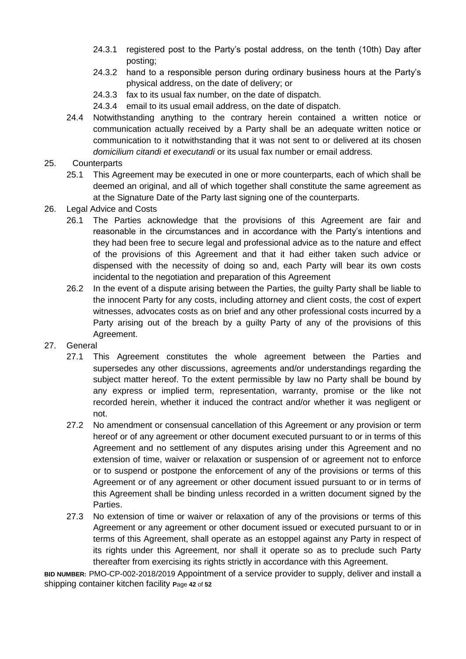- 24.3.1 registered post to the Party's postal address, on the tenth (10th) Day after posting;
- 24.3.2 hand to a responsible person during ordinary business hours at the Party's physical address, on the date of delivery; or
- 24.3.3 fax to its usual fax number, on the date of dispatch.
- 24.3.4 email to its usual email address, on the date of dispatch.
- 24.4 Notwithstanding anything to the contrary herein contained a written notice or communication actually received by a Party shall be an adequate written notice or communication to it notwithstanding that it was not sent to or delivered at its chosen *domicilium citandi et executandi* or its usual fax number or email address.

#### 25. Counterparts

- 25.1 This Agreement may be executed in one or more counterparts, each of which shall be deemed an original, and all of which together shall constitute the same agreement as at the Signature Date of the Party last signing one of the counterparts.
- 26. Legal Advice and Costs
	- 26.1 The Parties acknowledge that the provisions of this Agreement are fair and reasonable in the circumstances and in accordance with the Party's intentions and they had been free to secure legal and professional advice as to the nature and effect of the provisions of this Agreement and that it had either taken such advice or dispensed with the necessity of doing so and, each Party will bear its own costs incidental to the negotiation and preparation of this Agreement
	- 26.2 In the event of a dispute arising between the Parties, the guilty Party shall be liable to the innocent Party for any costs, including attorney and client costs, the cost of expert witnesses, advocates costs as on brief and any other professional costs incurred by a Party arising out of the breach by a guilty Party of any of the provisions of this Agreement.
- 27. General
	- 27.1 This Agreement constitutes the whole agreement between the Parties and supersedes any other discussions, agreements and/or understandings regarding the subject matter hereof. To the extent permissible by law no Party shall be bound by any express or implied term, representation, warranty, promise or the like not recorded herein, whether it induced the contract and/or whether it was negligent or not.
	- 27.2 No amendment or consensual cancellation of this Agreement or any provision or term hereof or of any agreement or other document executed pursuant to or in terms of this Agreement and no settlement of any disputes arising under this Agreement and no extension of time, waiver or relaxation or suspension of or agreement not to enforce or to suspend or postpone the enforcement of any of the provisions or terms of this Agreement or of any agreement or other document issued pursuant to or in terms of this Agreement shall be binding unless recorded in a written document signed by the Parties.
	- 27.3 No extension of time or waiver or relaxation of any of the provisions or terms of this Agreement or any agreement or other document issued or executed pursuant to or in terms of this Agreement, shall operate as an estoppel against any Party in respect of its rights under this Agreement, nor shall it operate so as to preclude such Party thereafter from exercising its rights strictly in accordance with this Agreement.

**BID NUMBER:** PMO-CP-002-2018/2019 Appointment of a service provider to supply, deliver and install a shipping container kitchen facility **P**age **42** of **52**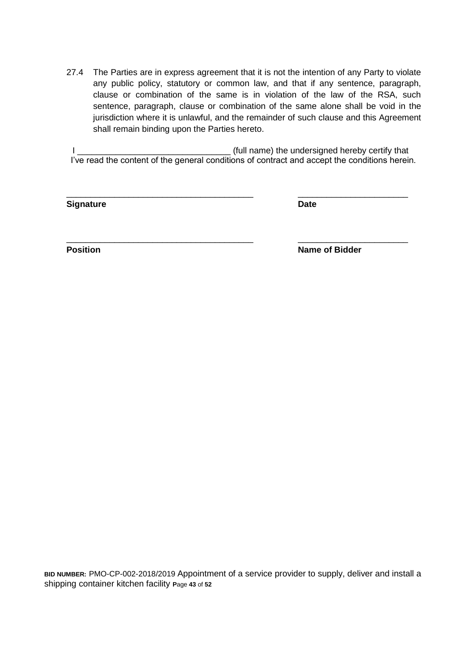27.4 The Parties are in express agreement that it is not the intention of any Party to violate any public policy, statutory or common law, and that if any sentence, paragraph, clause or combination of the same is in violation of the law of the RSA, such sentence, paragraph, clause or combination of the same alone shall be void in the jurisdiction where it is unlawful, and the remainder of such clause and this Agreement shall remain binding upon the Parties hereto.

I \_\_\_\_\_\_\_\_\_\_\_\_\_\_\_\_\_\_\_\_\_\_\_\_\_\_\_\_\_\_\_\_ (full name) the undersigned hereby certify that I've read the content of the general conditions of contract and accept the conditions herein.

\_\_\_\_\_\_\_\_\_\_\_\_\_\_\_\_\_\_\_\_\_\_\_\_\_\_\_\_\_\_\_\_\_\_\_\_\_\_\_ \_\_\_\_\_\_\_\_\_\_\_\_\_\_\_\_\_\_\_\_\_\_\_

\_\_\_\_\_\_\_\_\_\_\_\_\_\_\_\_\_\_\_\_\_\_\_\_\_\_\_\_\_\_\_\_\_\_\_\_\_\_\_ \_\_\_\_\_\_\_\_\_\_\_\_\_\_\_\_\_\_\_\_\_\_\_

**Signature Date** 

**Position Name of Bidder** 

**BID NUMBER:** PMO-CP-002-2018/2019 Appointment of a service provider to supply, deliver and install a shipping container kitchen facility **P**age **43** of **52**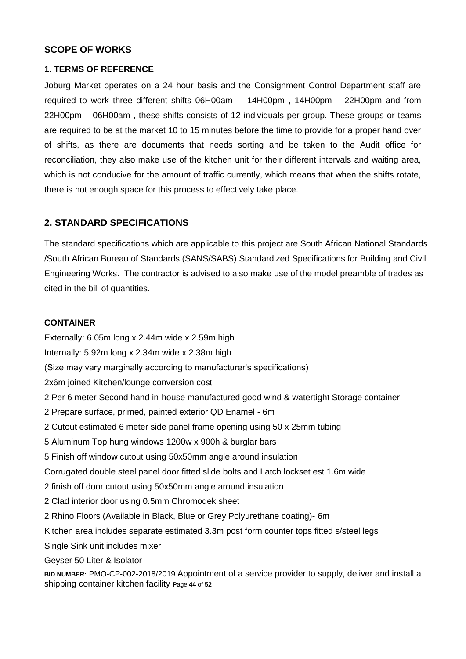## **SCOPE OF WORKS**

#### **1. TERMS OF REFERENCE**

Joburg Market operates on a 24 hour basis and the Consignment Control Department staff are required to work three different shifts 06H00am - 14H00pm , 14H00pm – 22H00pm and from 22H00pm – 06H00am , these shifts consists of 12 individuals per group. These groups or teams are required to be at the market 10 to 15 minutes before the time to provide for a proper hand over of shifts, as there are documents that needs sorting and be taken to the Audit office for reconciliation, they also make use of the kitchen unit for their different intervals and waiting area, which is not conducive for the amount of traffic currently, which means that when the shifts rotate, there is not enough space for this process to effectively take place.

## **2. STANDARD SPECIFICATIONS**

The standard specifications which are applicable to this project are South African National Standards /South African Bureau of Standards (SANS/SABS) Standardized Specifications for Building and Civil Engineering Works. The contractor is advised to also make use of the model preamble of trades as cited in the bill of quantities.

#### **CONTAINER**

**BID NUMBER:** PMO-CP-002-2018/2019 Appointment of a service provider to supply, deliver and install a shipping container kitchen facility **P**age **44** of **52** Externally: 6.05m long x 2.44m wide x 2.59m high Internally: 5.92m long x 2.34m wide x 2.38m high (Size may vary marginally according to manufacturer's specifications) 2x6m joined Kitchen/lounge conversion cost 2 Per 6 meter Second hand in-house manufactured good wind & watertight Storage container 2 Prepare surface, primed, painted exterior QD Enamel - 6m 2 Cutout estimated 6 meter side panel frame opening using 50 x 25mm tubing 5 Aluminum Top hung windows 1200w x 900h & burglar bars 5 Finish off window cutout using 50x50mm angle around insulation Corrugated double steel panel door fitted slide bolts and Latch lockset est 1.6m wide 2 finish off door cutout using 50x50mm angle around insulation 2 Clad interior door using 0.5mm Chromodek sheet 2 Rhino Floors (Available in Black, Blue or Grey Polyurethane coating)- 6m Kitchen area includes separate estimated 3.3m post form counter tops fitted s/steel legs Single Sink unit includes mixer Geyser 50 Liter & Isolator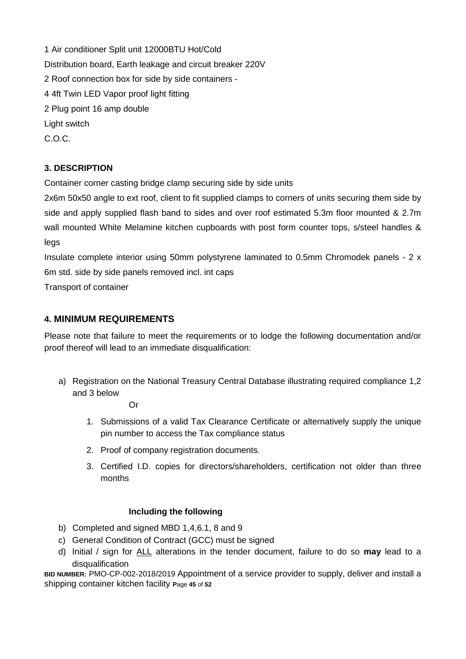1 Air conditioner Split unit 12000BTU Hot/Cold Distribution board, Earth leakage and circuit breaker 220V 2 Roof connection box for side by side containers - 4 4ft Twin LED Vapor proof light fitting 2 Plug point 16 amp double Light switch C.O.C.

# **3. DESCRIPTION**

Container corner casting bridge clamp securing side by side units

2x6m 50x50 angle to ext roof, client to fit supplied clamps to corners of units securing them side by side and apply supplied flash band to sides and over roof estimated 5.3m floor mounted & 2.7m wall mounted White Melamine kitchen cupboards with post form counter tops, s/steel handles & legs

Insulate complete interior using 50mm polystyrene laminated to 0.5mm Chromodek panels - 2 x 6m std. side by side panels removed incl. int caps

Transport of container

## **4. MINIMUM REQUIREMENTS**

Please note that failure to meet the requirements or to lodge the following documentation and/or proof thereof will lead to an immediate disqualification:

a) Registration on the National Treasury Central Database illustrating required compliance 1,2 and 3 below

Or

- 1. Submissions of a valid Tax Clearance Certificate or alternatively supply the unique pin number to access the Tax compliance status
- 2. Proof of company registration documents.
- 3. Certified I.D. copies for directors/shareholders, certification not older than three months

#### **Including the following**

- b) Completed and signed MBD 1,4,6.1, 8 and 9
- c) General Condition of Contract (GCC) must be signed
- d) Initial / sign for ALL alterations in the tender document, failure to do so **may** lead to a disqualification

**BID NUMBER:** PMO-CP-002-2018/2019 Appointment of a service provider to supply, deliver and install a shipping container kitchen facility **P**age **45** of **52**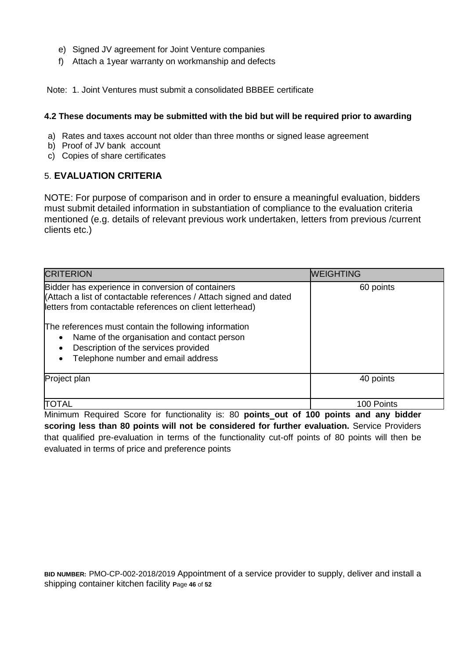- e) Signed JV agreement for Joint Venture companies
- f) Attach a 1year warranty on workmanship and defects

Note: 1. Joint Ventures must submit a consolidated BBBEE certificate

#### **4.2 These documents may be submitted with the bid but will be required prior to awarding**

- a) Rates and taxes account not older than three months or signed lease agreement
- b) Proof of JV bank account
- c) Copies of share certificates

# 5. **EVALUATION CRITERIA**

NOTE: For purpose of comparison and in order to ensure a meaningful evaluation, bidders must submit detailed information in substantiation of compliance to the evaluation criteria mentioned (e.g. details of relevant previous work undertaken, letters from previous /current clients etc.)

| <b>CRITERION</b>                                                                                                                                                                                                                                                                                                                                                                                     | <b>WEIGHTING</b> |
|------------------------------------------------------------------------------------------------------------------------------------------------------------------------------------------------------------------------------------------------------------------------------------------------------------------------------------------------------------------------------------------------------|------------------|
| Bidder has experience in conversion of containers<br>(Attach a list of contactable references / Attach signed and dated<br>letters from contactable references on client letterhead)<br>The references must contain the following information<br>Name of the organisation and contact person<br>$\bullet$<br>Description of the services provided<br>$\bullet$<br>Telephone number and email address | 60 points        |
| Project plan                                                                                                                                                                                                                                                                                                                                                                                         | 40 points        |
| TOTAL                                                                                                                                                                                                                                                                                                                                                                                                | 100 Points       |

Minimum Required Score for functionality is: 80 **points out of 100 points and any bidder scoring less than 80 points will not be considered for further evaluation.** Service Providers that qualified pre-evaluation in terms of the functionality cut-off points of 80 points will then be evaluated in terms of price and preference points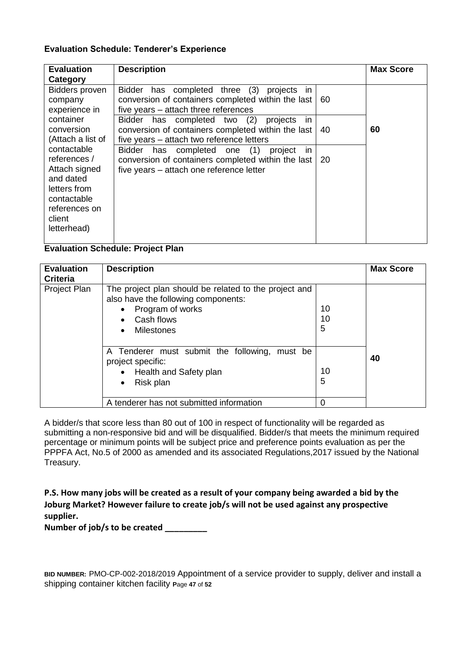#### **Evaluation Schedule: Tenderer's Experience**

| <b>Evaluation</b><br>Category                                                                                                      | <b>Description</b>                                                                                                                                 |    | <b>Max Score</b> |
|------------------------------------------------------------------------------------------------------------------------------------|----------------------------------------------------------------------------------------------------------------------------------------------------|----|------------------|
| <b>Bidders proven</b><br>company<br>experience in                                                                                  | Bidder has completed three (3)<br>projects<br>in.<br>conversion of containers completed within the last<br>five years - attach three references    | 60 |                  |
| container<br>conversion<br>(Attach a list of                                                                                       | Bidder has completed two (2)<br>projects<br>in.<br>conversion of containers completed within the last<br>five years - attach two reference letters | 40 | 60               |
| contactable<br>references /<br>Attach signed<br>and dated<br>letters from<br>contactable<br>references on<br>client<br>letterhead) | Bidder has completed one (1)<br>project<br>in<br>conversion of containers completed within the last<br>five years - attach one reference letter    | 20 |                  |

#### **Evaluation Schedule: Project Plan**

| <b>Evaluation</b><br><b>Criteria</b>                                                                                                                                | <b>Description</b>                                                                                                     |               |    |  |  |
|---------------------------------------------------------------------------------------------------------------------------------------------------------------------|------------------------------------------------------------------------------------------------------------------------|---------------|----|--|--|
| Project Plan<br>The project plan should be related to the project and<br>also have the following components:<br>Program of works<br>Cash flows<br><b>Milestones</b> |                                                                                                                        | 10<br>10<br>5 |    |  |  |
|                                                                                                                                                                     | A Tenderer must submit the following, must be<br>project specific:<br>Health and Safety plan<br>Risk plan<br>$\bullet$ | 10<br>5       | 40 |  |  |
|                                                                                                                                                                     | A tenderer has not submitted information                                                                               | 0             |    |  |  |

A bidder/s that score less than 80 out of 100 in respect of functionality will be regarded as submitting a non-responsive bid and will be disqualified. Bidder/s that meets the minimum required percentage or minimum points will be subject price and preference points evaluation as per the PPPFA Act, No.5 of 2000 as amended and its associated Regulations,2017 issued by the National Treasury.

**P.S. How many jobs will be created as a result of your company being awarded a bid by the Joburg Market? However failure to create job/s will not be used against any prospective supplier.** 

**Number of job/s to be created \_\_\_\_\_\_\_\_\_** 

**BID NUMBER:** PMO-CP-002-2018/2019 Appointment of a service provider to supply, deliver and install a shipping container kitchen facility **P**age **47** of **52**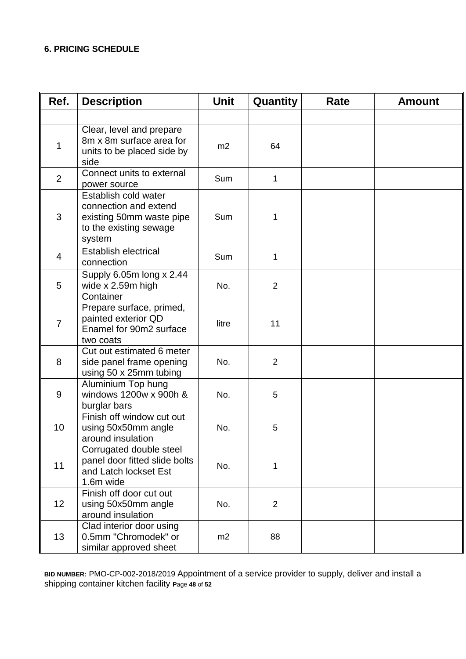## **6. PRICING SCHEDULE**

| Ref.           | <b>Description</b>                                                                                            | <b>Unit</b> | Quantity       | Rate | <b>Amount</b> |
|----------------|---------------------------------------------------------------------------------------------------------------|-------------|----------------|------|---------------|
|                |                                                                                                               |             |                |      |               |
| 1              | Clear, level and prepare<br>8m x 8m surface area for<br>units to be placed side by<br>side                    | m2          | 64             |      |               |
| 2              | Connect units to external<br>power source                                                                     | Sum         | 1              |      |               |
| 3              | Establish cold water<br>connection and extend<br>existing 50mm waste pipe<br>to the existing sewage<br>system | Sum         | 1              |      |               |
| $\overline{4}$ | <b>Establish electrical</b><br>connection                                                                     | Sum         | 1              |      |               |
| 5              | Supply 6.05m long x 2.44<br>wide x 2.59m high<br>Container                                                    | No.         | 2              |      |               |
| $\overline{7}$ | Prepare surface, primed,<br>painted exterior QD<br>Enamel for 90m2 surface<br>two coats                       | litre       | 11             |      |               |
| 8              | Cut out estimated 6 meter<br>side panel frame opening<br>using 50 x 25mm tubing                               | No.         | $\overline{2}$ |      |               |
| 9              | Aluminium Top hung<br>windows 1200w x 900h &<br>burglar bars                                                  | No.         | 5              |      |               |
| 10             | Finish off window cut out<br>using 50x50mm angle<br>around insulation                                         | No.         | 5              |      |               |
| 11             | Corrugated double steel<br>panel door fitted slide bolts<br>and Latch lockset Est<br>1.6m wide                | No.         | $\mathbf{1}$   |      |               |
| 12             | Finish off door cut out<br>using 50x50mm angle<br>around insulation                                           | No.         | $\overline{2}$ |      |               |
| 13             | Clad interior door using<br>0.5mm "Chromodek" or<br>similar approved sheet                                    | m2          | 88             |      |               |

**BID NUMBER:** PMO-CP-002-2018/2019 Appointment of a service provider to supply, deliver and install a shipping container kitchen facility **P**age **48** of **52**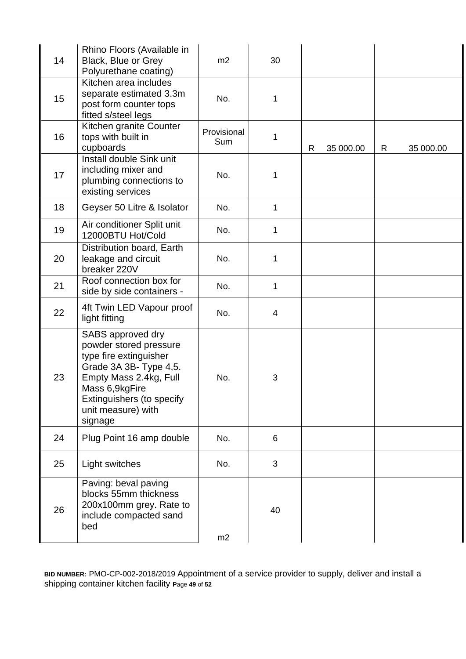| 14 | Rhino Floors (Available in<br>Black, Blue or Grey<br>Polyurethane coating)                                                                                                                                | m2                        | 30          |   |           |    |           |
|----|-----------------------------------------------------------------------------------------------------------------------------------------------------------------------------------------------------------|---------------------------|-------------|---|-----------|----|-----------|
| 15 | Kitchen area includes<br>separate estimated 3.3m<br>post form counter tops<br>fitted s/steel legs                                                                                                         | No.                       | $\mathbf 1$ |   |           |    |           |
| 16 | Kitchen granite Counter<br>tops with built in<br>cupboards                                                                                                                                                | Provisional<br><b>Sum</b> | 1           | R | 35 000.00 | R. | 35 000.00 |
| 17 | Install double Sink unit<br>including mixer and<br>plumbing connections to<br>existing services                                                                                                           | No.                       | 1           |   |           |    |           |
| 18 | Geyser 50 Litre & Isolator                                                                                                                                                                                | No.                       | 1           |   |           |    |           |
| 19 | Air conditioner Split unit<br>12000BTU Hot/Cold                                                                                                                                                           | No.                       | $\mathbf 1$ |   |           |    |           |
| 20 | Distribution board, Earth<br>leakage and circuit<br>breaker 220V                                                                                                                                          | No.                       | 1           |   |           |    |           |
| 21 | Roof connection box for<br>side by side containers -                                                                                                                                                      | No.                       | 1           |   |           |    |           |
| 22 | 4ft Twin LED Vapour proof<br>light fitting                                                                                                                                                                | No.                       | 4           |   |           |    |           |
| 23 | SABS approved dry<br>powder stored pressure<br>type fire extinguisher<br>Grade 3A 3B- Type 4,5.<br>Empty Mass 2.4kg, Full<br>Mass 6,9kgFire<br>Extinguishers (to specify<br>unit measure) with<br>signage | No.                       | 3           |   |           |    |           |
| 24 | Plug Point 16 amp double                                                                                                                                                                                  | No.                       | 6           |   |           |    |           |
| 25 | Light switches                                                                                                                                                                                            | No.                       | 3           |   |           |    |           |
| 26 | Paving: beval paving<br>blocks 55mm thickness<br>200x100mm grey. Rate to<br>include compacted sand<br>bed                                                                                                 | m2                        | 40          |   |           |    |           |

**BID NUMBER:** PMO-CP-002-2018/2019 Appointment of a service provider to supply, deliver and install a shipping container kitchen facility **P**age **49** of **52**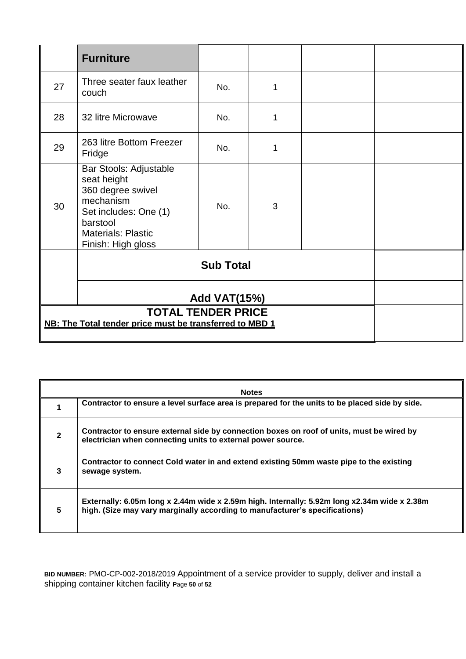|                                                         | <b>Furniture</b>                                                                                                                                                |     |   |  |  |
|---------------------------------------------------------|-----------------------------------------------------------------------------------------------------------------------------------------------------------------|-----|---|--|--|
| 27                                                      | Three seater faux leather<br>couch                                                                                                                              | No. | 1 |  |  |
| 28                                                      | 32 litre Microwave                                                                                                                                              | No. | 1 |  |  |
| 29                                                      | 263 litre Bottom Freezer<br>Fridge                                                                                                                              | No. | 1 |  |  |
| 30                                                      | Bar Stools: Adjustable<br>seat height<br>360 degree swivel<br>mechanism<br>Set includes: One (1)<br>barstool<br><b>Materials: Plastic</b><br>Finish: High gloss | No. | 3 |  |  |
|                                                         |                                                                                                                                                                 |     |   |  |  |
|                                                         | <b>Add VAT(15%)</b>                                                                                                                                             |     |   |  |  |
| NB: The Total tender price must be transferred to MBD 1 |                                                                                                                                                                 |     |   |  |  |

| <b>Notes</b>   |                                                                                                                                                                             |  |  |  |  |
|----------------|-----------------------------------------------------------------------------------------------------------------------------------------------------------------------------|--|--|--|--|
|                | Contractor to ensure a level surface area is prepared for the units to be placed side by side.                                                                              |  |  |  |  |
| $\overline{2}$ | Contractor to ensure external side by connection boxes on roof of units, must be wired by<br>electrician when connecting units to external power source.                    |  |  |  |  |
| 3              | Contractor to connect Cold water in and extend existing 50mm waste pipe to the existing<br>sewage system.                                                                   |  |  |  |  |
| 5              | Externally: 6.05m long x 2.44m wide x 2.59m high. Internally: 5.92m long x2.34m wide x 2.38m<br>high. (Size may vary marginally according to manufacturer's specifications) |  |  |  |  |

**BID NUMBER:** PMO-CP-002-2018/2019 Appointment of a service provider to supply, deliver and install a shipping container kitchen facility **P**age **50** of **52**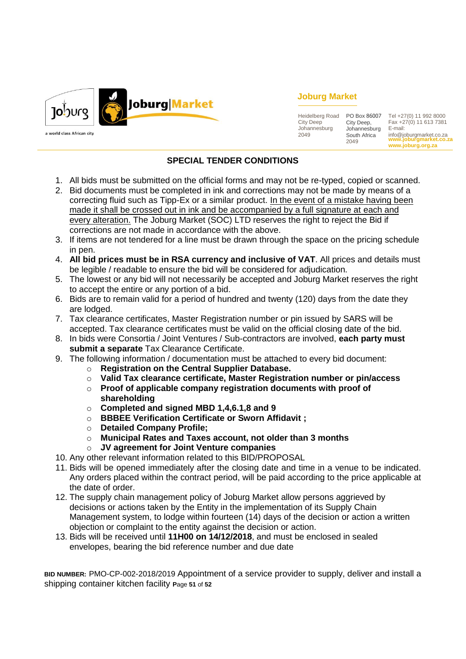

## **Joburg Market**

Heidelberg Road PO Box 86007 Tel +27(0) 11 992 8000 City Deep Johannesburg 2049 City Deep, Johannesburg South Africa 2049

**www.joburgmarket.co.za www.joburg.org.za** Fax +27(0) 11 613 7381 E-mail: info@joburgmarket.co.za

# **SPECIAL TENDER CONDITIONS**

- 1. All bids must be submitted on the official forms and may not be re-typed, copied or scanned.
- 2. Bid documents must be completed in ink and corrections may not be made by means of a correcting fluid such as Tipp-Ex or a similar product. In the event of a mistake having been made it shall be crossed out in ink and be accompanied by a full signature at each and every alteration. The Joburg Market (SOC) LTD reserves the right to reject the Bid if corrections are not made in accordance with the above.
- 3. If items are not tendered for a line must be drawn through the space on the pricing schedule in pen.
- 4. **All bid prices must be in RSA currency and inclusive of VAT**. All prices and details must be legible / readable to ensure the bid will be considered for adjudication.
- 5. The lowest or any bid will not necessarily be accepted and Joburg Market reserves the right to accept the entire or any portion of a bid.
- 6. Bids are to remain valid for a period of hundred and twenty (120) days from the date they are lodged.
- 7. Tax clearance certificates, Master Registration number or pin issued by SARS will be accepted. Tax clearance certificates must be valid on the official closing date of the bid.
- 8. In bids were Consortia / Joint Ventures / Sub-contractors are involved, **each party must submit a separate** Tax Clearance Certificate.
- 9. The following information / documentation must be attached to every bid document:
	- o **Registration on the Central Supplier Database.**
	- o **Valid Tax clearance certificate, Master Registration number or pin/access**
	- o **Proof of applicable company registration documents with proof of shareholding**
	- o **Completed and signed MBD 1,4,6.1,8 and 9**
	- o **BBBEE Verification Certificate or Sworn Affidavit ;**
	- o **Detailed Company Profile;**
	- o **Municipal Rates and Taxes account, not older than 3 months**
	- o **JV agreement for Joint Venture companies**
- 10. Any other relevant information related to this BID/PROPOSAL
- 11. Bids will be opened immediately after the closing date and time in a venue to be indicated. Any orders placed within the contract period, will be paid according to the price applicable at the date of order.
- 12. The supply chain management policy of Joburg Market allow persons aggrieved by decisions or actions taken by the Entity in the implementation of its Supply Chain Management system, to lodge within fourteen (14) days of the decision or action a written objection or complaint to the entity against the decision or action.
- 13. Bids will be received until **11H00 on 14/12/2018**, and must be enclosed in sealed envelopes, bearing the bid reference number and due date

**BID NUMBER:** PMO-CP-002-2018/2019 Appointment of a service provider to supply, deliver and install a shipping container kitchen facility **P**age **51** of **52**